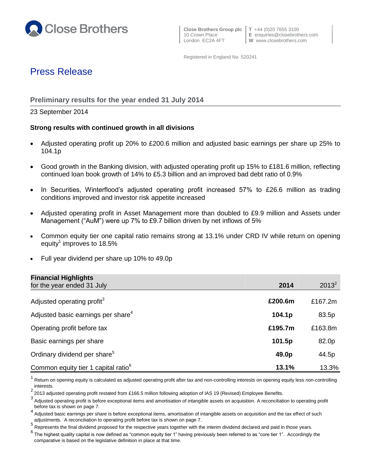

**W** www.closebrothers.com

Registered in England No. 520241

# Press Release

## **Preliminary results for the year ended 31 July 2014**

23 September 2014

## **Strong results with continued growth in all divisions**

- Adjusted operating profit up 20% to £200.6 million and adjusted basic earnings per share up 25% to 104.1p
- Good growth in the Banking division, with adjusted operating profit up 15% to £181.6 million, reflecting continued loan book growth of 14% to £5.3 billion and an improved bad debt ratio of 0.9%
- In Securities, Winterflood's adjusted operating profit increased 57% to £26.6 million as trading conditions improved and investor risk appetite increased
- Adjusted operating profit in Asset Management more than doubled to £9.9 million and Assets under Management ("AuM") were up 7% to £9.7 billion driven by net inflows of 5%
- Common equity tier one capital ratio remains strong at 13.1% under CRD IV while return on opening equity<sup>1</sup> improves to 18.5%
- Full year dividend per share up 10% to 49.0p

| <b>Financial Highlights</b>                     |         |          |
|-------------------------------------------------|---------|----------|
| for the year ended 31 July                      | 2014    | $2013^2$ |
| Adjusted operating profit <sup>3</sup>          | £200.6m | £167.2m  |
| Adjusted basic earnings per share <sup>4</sup>  | 104.1p  | 83.5p    |
| Operating profit before tax                     | £195.7m | £163.8m  |
| Basic earnings per share                        | 101.5p  | 82.0p    |
| Ordinary dividend per share <sup>5</sup>        | 49.0p   | 44.5p    |
| Common equity tier 1 capital ratio <sup>6</sup> | 13.1%   | 13.3%    |

1 Return on opening equity is calculated as adjusted operating profit after tax and non-controlling interests on opening equity less non-controlling interests.

<sup>2</sup> 2013 adjusted operating profit restated from £166.5 million following adoption of IAS 19 (Revised) Employee Benefits.

<sup>3</sup> Adjusted operating profit is before exceptional items and amortisation of intangible assets on acquisition. A reconciliation to operating profit before tax is shown on page 7.

<sup>4</sup> Adjusted basic earnings per share is before exceptional items, amortisation of intangible assets on acquisition and the tax effect of such adjustments. A reconciliation to operating profit before tax is shown on page 7.

<sup>5</sup> Represents the final dividend proposed for the respective years together with the interim dividend declared and paid in those years.

 $^6$  The highest quality capital is now defined as "common equity tier 1" having previously been referred to as "core tier 1". Accordingly the comparative is based on the legislative definition in place at that time.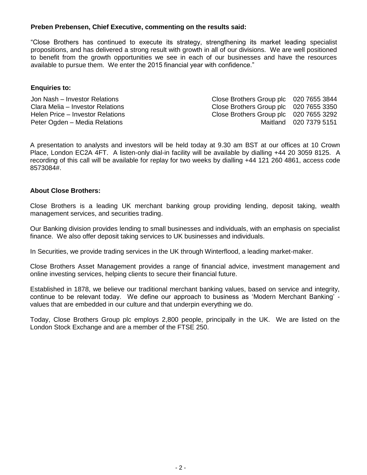### **Preben Prebensen, Chief Executive, commenting on the results said:**

"Close Brothers has continued to execute its strategy, strengthening its market leading specialist propositions, and has delivered a strong result with growth in all of our divisions. We are well positioned to benefit from the growth opportunities we see in each of our businesses and have the resources available to pursue them. We enter the 2015 financial year with confidence."

### **Enquiries to:**

Jon Nash – Investor Relations Close Brothers Group plc 020 7655 3844 Clara Melia – Investor Relations Close Brothers Group plc 020 7655 3350 Helen Price – Investor Relations Close Brothers Group plc 020 7655 3292 Peter Ogden – Media Relations Matthews Maitland 020 7379 5151

A presentation to analysts and investors will be held today at 9.30 am BST at our offices at 10 Crown Place, London EC2A 4FT. A listen-only dial-in facility will be available by dialling +44 20 3059 8125. A recording of this call will be available for replay for two weeks by dialling +44 121 260 4861, access code 8573084#.

#### **About Close Brothers:**

Close Brothers is a leading UK merchant banking group providing lending, deposit taking, wealth management services, and securities trading.

Our Banking division provides lending to small businesses and individuals, with an emphasis on specialist finance. We also offer deposit taking services to UK businesses and individuals.

In Securities, we provide trading services in the UK through Winterflood, a leading market-maker.

Close Brothers Asset Management provides a range of financial advice, investment management and online investing services, helping clients to secure their financial future.

Established in 1878, we believe our traditional merchant banking values, based on service and integrity, continue to be relevant today. We define our approach to business as 'Modern Merchant Banking' values that are embedded in our culture and that underpin everything we do.

Today, Close Brothers Group plc employs 2,800 people, principally in the UK. We are listed on the London Stock Exchange and are a member of the FTSE 250.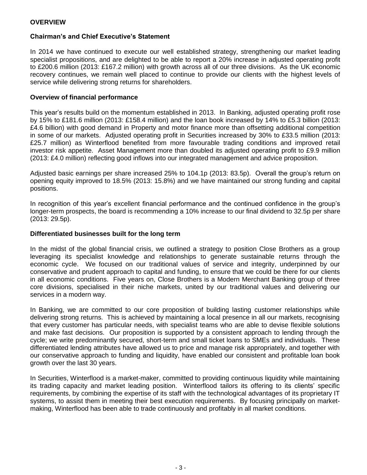## **Chairman's and Chief Executive's Statement**

In 2014 we have continued to execute our well established strategy, strengthening our market leading specialist propositions, and are delighted to be able to report a 20% increase in adjusted operating profit to £200.6 million (2013: £167.2 million) with growth across all of our three divisions. As the UK economic recovery continues, we remain well placed to continue to provide our clients with the highest levels of service while delivering strong returns for shareholders.

#### **Overview of financial performance**

This year's results build on the momentum established in 2013. In Banking, adjusted operating profit rose by 15% to £181.6 million (2013: £158.4 million) and the loan book increased by 14% to £5.3 billion (2013: £4.6 billion) with good demand in Property and motor finance more than offsetting additional competition in some of our markets. Adjusted operating profit in Securities increased by 30% to £33.5 million (2013: £25.7 million) as Winterflood benefited from more favourable trading conditions and improved retail investor risk appetite. Asset Management more than doubled its adjusted operating profit to £9.9 million (2013: £4.0 million) reflecting good inflows into our integrated management and advice proposition.

Adjusted basic earnings per share increased 25% to 104.1p (2013: 83.5p). Overall the group's return on opening equity improved to 18.5% (2013: 15.8%) and we have maintained our strong funding and capital positions.

In recognition of this year's excellent financial performance and the continued confidence in the group's longer-term prospects, the board is recommending a 10% increase to our final dividend to 32.5p per share (2013: 29.5p).

#### **Differentiated businesses built for the long term**

In the midst of the global financial crisis, we outlined a strategy to position Close Brothers as a group leveraging its specialist knowledge and relationships to generate sustainable returns through the economic cycle. We focused on our traditional values of service and integrity, underpinned by our conservative and prudent approach to capital and funding, to ensure that we could be there for our clients in all economic conditions. Five years on, Close Brothers is a Modern Merchant Banking group of three core divisions, specialised in their niche markets, united by our traditional values and delivering our services in a modern way.

In Banking, we are committed to our core proposition of building lasting customer relationships while delivering strong returns. This is achieved by maintaining a local presence in all our markets, recognising that every customer has particular needs, with specialist teams who are able to devise flexible solutions and make fast decisions. Our proposition is supported by a consistent approach to lending through the cycle; we write predominantly secured, short-term and small ticket loans to SMEs and individuals. These differentiated lending attributes have allowed us to price and manage risk appropriately, and together with our conservative approach to funding and liquidity, have enabled our consistent and profitable loan book growth over the last 30 years.

In Securities, Winterflood is a market-maker, committed to providing continuous liquidity while maintaining its trading capacity and market leading position. Winterflood tailors its offering to its clients' specific requirements, by combining the expertise of its staff with the technological advantages of its proprietary IT systems, to assist them in meeting their best execution requirements. By focusing principally on marketmaking, Winterflood has been able to trade continuously and profitably in all market conditions.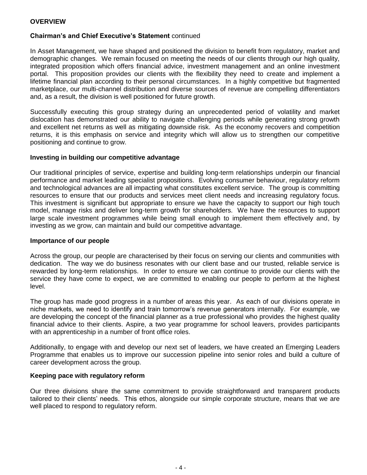## **OVERVIEW**

## **Chairman's and Chief Executive's Statement** continued

In Asset Management, we have shaped and positioned the division to benefit from regulatory, market and demographic changes. We remain focused on meeting the needs of our clients through our high quality, integrated proposition which offers financial advice, investment management and an online investment portal. This proposition provides our clients with the flexibility they need to create and implement a lifetime financial plan according to their personal circumstances. In a highly competitive but fragmented marketplace, our multi-channel distribution and diverse sources of revenue are compelling differentiators and, as a result, the division is well positioned for future growth.

Successfully executing this group strategy during an unprecedented period of volatility and market dislocation has demonstrated our ability to navigate challenging periods while generating strong growth and excellent net returns as well as mitigating downside risk. As the economy recovers and competition returns, it is this emphasis on service and integrity which will allow us to strengthen our competitive positioning and continue to grow.

#### **Investing in building our competitive advantage**

Our traditional principles of service, expertise and building long-term relationships underpin our financial performance and market leading specialist propositions. Evolving consumer behaviour, regulatory reform and technological advances are all impacting what constitutes excellent service. The group is committing resources to ensure that our products and services meet client needs and increasing regulatory focus. This investment is significant but appropriate to ensure we have the capacity to support our high touch model, manage risks and deliver long-term growth for shareholders. We have the resources to support large scale investment programmes while being small enough to implement them effectively and, by investing as we grow, can maintain and build our competitive advantage.

#### **Importance of our people**

Across the group, our people are characterised by their focus on serving our clients and communities with dedication. The way we do business resonates with our client base and our trusted, reliable service is rewarded by long-term relationships. In order to ensure we can continue to provide our clients with the service they have come to expect, we are committed to enabling our people to perform at the highest level.

The group has made good progress in a number of areas this year. As each of our divisions operate in niche markets, we need to identify and train tomorrow's revenue generators internally. For example, we are developing the concept of the financial planner as a true professional who provides the highest quality financial advice to their clients. Aspire, a two year programme for school leavers, provides participants with an apprenticeship in a number of front office roles.

Additionally, to engage with and develop our next set of leaders, we have created an Emerging Leaders Programme that enables us to improve our succession pipeline into senior roles and build a culture of career development across the group.

#### **Keeping pace with regulatory reform**

Our three divisions share the same commitment to provide straightforward and transparent products tailored to their clients' needs. This ethos, alongside our simple corporate structure, means that we are well placed to respond to regulatory reform.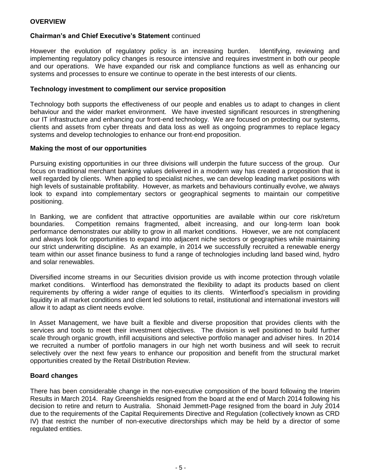## **Chairman's and Chief Executive's Statement** continued

However the evolution of regulatory policy is an increasing burden. Identifying, reviewing and implementing regulatory policy changes is resource intensive and requires investment in both our people and our operations. We have expanded our risk and compliance functions as well as enhancing our systems and processes to ensure we continue to operate in the best interests of our clients.

### **Technology investment to compliment our service proposition**

Technology both supports the effectiveness of our people and enables us to adapt to changes in client behaviour and the wider market environment. We have invested significant resources in strengthening our IT infrastructure and enhancing our front-end technology. We are focused on protecting our systems, clients and assets from cyber threats and data loss as well as ongoing programmes to replace legacy systems and develop technologies to enhance our front-end proposition.

### **Making the most of our opportunities**

Pursuing existing opportunities in our three divisions will underpin the future success of the group. Our focus on traditional merchant banking values delivered in a modern way has created a proposition that is well regarded by clients. When applied to specialist niches, we can develop leading market positions with high levels of sustainable profitability. However, as markets and behaviours continually evolve, we always look to expand into complementary sectors or geographical segments to maintain our competitive positioning.

In Banking, we are confident that attractive opportunities are available within our core risk/return boundaries. Competition remains fragmented, albeit increasing, and our long-term loan book performance demonstrates our ability to grow in all market conditions. However, we are not complacent and always look for opportunities to expand into adjacent niche sectors or geographies while maintaining our strict underwriting discipline. As an example, in 2014 we successfully recruited a renewable energy team within our asset finance business to fund a range of technologies including land based wind, hydro and solar renewables.

Diversified income streams in our Securities division provide us with income protection through volatile market conditions. Winterflood has demonstrated the flexibility to adapt its products based on client requirements by offering a wider range of equities to its clients. Winterflood's specialism in providing liquidity in all market conditions and client led solutions to retail, institutional and international investors will allow it to adapt as client needs evolve.

In Asset Management, we have built a flexible and diverse proposition that provides clients with the services and tools to meet their investment objectives. The division is well positioned to build further scale through organic growth, infill acquisitions and selective portfolio manager and adviser hires. In 2014 we recruited a number of portfolio managers in our high net worth business and will seek to recruit selectively over the next few years to enhance our proposition and benefit from the structural market opportunities created by the Retail Distribution Review.

## **Board changes**

There has been considerable change in the non-executive composition of the board following the Interim Results in March 2014. Ray Greenshields resigned from the board at the end of March 2014 following his decision to retire and return to Australia. Shonaid Jemmett-Page resigned from the board in July 2014 due to the requirements of the Capital Requirements Directive and Regulation (collectively known as CRD IV) that restrict the number of non-executive directorships which may be held by a director of some regulated entities.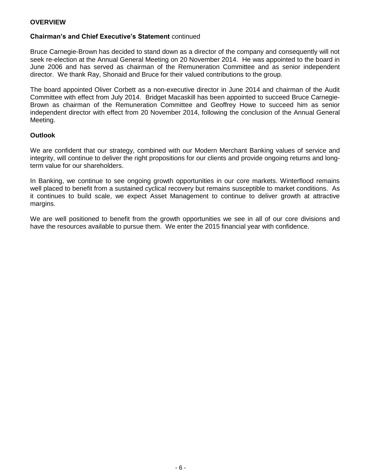## **OVERVIEW**

## **Chairman's and Chief Executive's Statement** continued

Bruce Carnegie-Brown has decided to stand down as a director of the company and consequently will not seek re-election at the Annual General Meeting on 20 November 2014. He was appointed to the board in June 2006 and has served as chairman of the Remuneration Committee and as senior independent director. We thank Ray, Shonaid and Bruce for their valued contributions to the group.

The board appointed Oliver Corbett as a non-executive director in June 2014 and chairman of the Audit Committee with effect from July 2014. Bridget Macaskill has been appointed to succeed Bruce Carnegie-Brown as chairman of the Remuneration Committee and Geoffrey Howe to succeed him as senior independent director with effect from 20 November 2014, following the conclusion of the Annual General Meeting.

### **Outlook**

We are confident that our strategy, combined with our Modern Merchant Banking values of service and integrity, will continue to deliver the right propositions for our clients and provide ongoing returns and longterm value for our shareholders.

In Banking, we continue to see ongoing growth opportunities in our core markets. Winterflood remains well placed to benefit from a sustained cyclical recovery but remains susceptible to market conditions. As it continues to build scale, we expect Asset Management to continue to deliver growth at attractive margins.

We are well positioned to benefit from the growth opportunities we see in all of our core divisions and have the resources available to pursue them. We enter the 2015 financial year with confidence.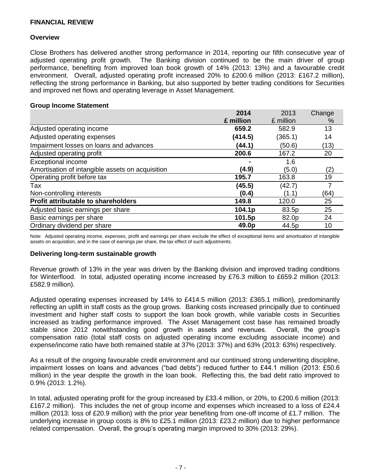#### **Overview**

Close Brothers has delivered another strong performance in 2014, reporting our fifth consecutive year of adjusted operating profit growth. The Banking division continued to be the main driver of group performance, benefiting from improved loan book growth of 14% (2013: 13%) and a favourable credit environment. Overall, adjusted operating profit increased 20% to £200.6 million (2013: £167.2 million), reflecting the strong performance in Banking, but also supported by better trading conditions for Securities and improved net flows and operating leverage in Asset Management.

#### **Group Income Statement**

|                                                  | 2014      | 2013      | Change |
|--------------------------------------------------|-----------|-----------|--------|
|                                                  | £ million | £ million | %      |
| Adjusted operating income                        | 659.2     | 582.9     | 13     |
| Adjusted operating expenses                      | (414.5)   | (365.1)   | 14     |
| Impairment losses on loans and advances          | (44.1)    | (50.6)    | (13)   |
| Adjusted operating profit                        | 200.6     | 167.2     | 20     |
| <b>Exceptional income</b>                        |           | 1.6       |        |
| Amortisation of intangible assets on acquisition | (4.9)     | (5.0)     | (2)    |
| Operating profit before tax                      | 195.7     | 163.8     | 19     |
| Tax                                              | (45.5)    | (42.7)    | 7      |
| Non-controlling interests                        | (0.4)     | (1.1)     | (64)   |
| Profit attributable to shareholders              | 149.8     | 120.0     | 25     |
| Adjusted basic earnings per share                | 104.1p    | 83.5p     | 25     |
| Basic earnings per share                         | 101.5p    | 82.0p     | 24     |
| Ordinary dividend per share                      | 49.0p     | 44.5p     | 10     |

Note: Adjusted operating income, expenses, profit and earnings per share exclude the effect of exceptional items and amortisation of intangible assets on acquisition, and in the case of earnings per share, the tax effect of such adjustments.

#### **Delivering long-term sustainable growth**

Revenue growth of 13% in the year was driven by the Banking division and improved trading conditions for Winterflood. In total, adjusted operating income increased by £76.3 million to £659.2 million (2013: £582.9 million).

Adjusted operating expenses increased by 14% to £414.5 million (2013: £365.1 million), predominantly reflecting an uplift in staff costs as the group grows. Banking costs increased principally due to continued investment and higher staff costs to support the loan book growth, while variable costs in Securities increased as trading performance improved. The Asset Management cost base has remained broadly stable since 2012 notwithstanding good growth in assets and revenues. Overall, the group's compensation ratio (total staff costs on adjusted operating income excluding associate income) and expense/income ratio have both remained stable at 37% (2013: 37%) and 63% (2013: 63%) respectively.

As a result of the ongoing favourable credit environment and our continued strong underwriting discipline, impairment losses on loans and advances ("bad debts") reduced further to £44.1 million (2013: £50.6 million) in the year despite the growth in the loan book. Reflecting this, the bad debt ratio improved to 0.9% (2013: 1.2%).

In total, adjusted operating profit for the group increased by £33.4 million, or 20%, to £200.6 million (2013: £167.2 million). This includes the net of group income and expenses which increased to a loss of £24.4 million (2013: loss of £20.9 million) with the prior year benefiting from one-off income of £1.7 million. The underlying increase in group costs is 8% to £25.1 million (2013: £23.2 million) due to higher performance related compensation. Overall, the group's operating margin improved to 30% (2013: 29%).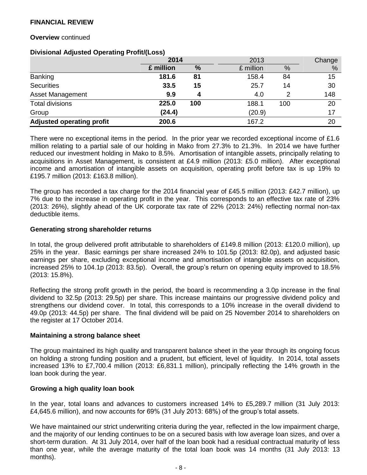#### **Overview** continued

#### **Divisional Adjusted Operating Profit/(Loss)**

|                                  |           | 2014 |           |               | Change |
|----------------------------------|-----------|------|-----------|---------------|--------|
|                                  | £ million | %    | £ million | $\frac{0}{0}$ | %      |
| Banking                          | 181.6     | 81   | 158.4     | 84            | 15     |
| <b>Securities</b>                | 33.5      | 15   | 25.7      | 14            | 30     |
| Asset Management                 | 9.9       | 4    | 4.0       | 2             | 148    |
| <b>Total divisions</b>           | 225.0     | 100  | 188.1     | 100           | 20     |
| Group                            | (24.4)    |      | (20.9)    |               | 17     |
| <b>Adjusted operating profit</b> | 200.6     |      | 167.2     |               | 20     |

There were no exceptional items in the period. In the prior year we recorded exceptional income of £1.6 million relating to a partial sale of our holding in Mako from 27.3% to 21.3%. In 2014 we have further reduced our investment holding in Mako to 8.5%. Amortisation of intangible assets, principally relating to acquisitions in Asset Management, is consistent at £4.9 million (2013: £5.0 million). After exceptional income and amortisation of intangible assets on acquisition, operating profit before tax is up 19% to £195.7 million (2013: £163.8 million).

The group has recorded a tax charge for the 2014 financial year of £45.5 million (2013: £42.7 million), up 7% due to the increase in operating profit in the year. This corresponds to an effective tax rate of 23% (2013: 26%), slightly ahead of the UK corporate tax rate of 22% (2013: 24%) reflecting normal non-tax deductible items.

#### **Generating strong shareholder returns**

In total, the group delivered profit attributable to shareholders of £149.8 million (2013: £120.0 million), up 25% in the year. Basic earnings per share increased 24% to 101.5p (2013: 82.0p), and adjusted basic earnings per share, excluding exceptional income and amortisation of intangible assets on acquisition, increased 25% to 104.1p (2013: 83.5p). Overall, the group's return on opening equity improved to 18.5% (2013: 15.8%).

Reflecting the strong profit growth in the period, the board is recommending a 3.0p increase in the final dividend to 32.5p (2013: 29.5p) per share. This increase maintains our progressive dividend policy and strengthens our dividend cover. In total, this corresponds to a 10% increase in the overall dividend to 49.0p (2013: 44.5p) per share. The final dividend will be paid on 25 November 2014 to shareholders on the register at 17 October 2014.

#### **Maintaining a strong balance sheet**

The group maintained its high quality and transparent balance sheet in the year through its ongoing focus on holding a strong funding position and a prudent, but efficient, level of liquidity. In 2014, total assets increased 13% to £7,700.4 million (2013: £6,831.1 million), principally reflecting the 14% growth in the loan book during the year.

#### **Growing a high quality loan book**

In the year, total loans and advances to customers increased 14% to £5,289.7 million (31 July 2013: £4,645.6 million), and now accounts for 69% (31 July 2013: 68%) of the group's total assets.

We have maintained our strict underwriting criteria during the year, reflected in the low impairment charge, and the majority of our lending continues to be on a secured basis with low average loan sizes, and over a short-term duration. At 31 July 2014, over half of the loan book had a residual contractual maturity of less than one year, while the average maturity of the total loan book was 14 months (31 July 2013: 13 months).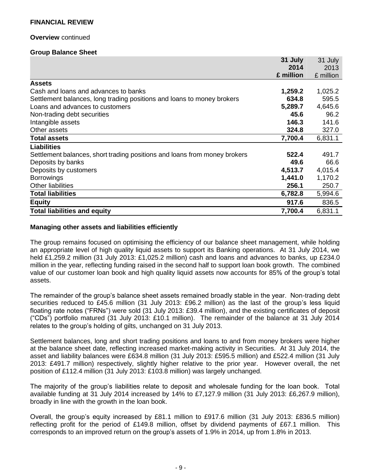#### **Overview** continued

#### **Group Balance Sheet**

|                                                                           | 31 July   | 31 July   |
|---------------------------------------------------------------------------|-----------|-----------|
|                                                                           | 2014      | 2013      |
|                                                                           | £ million | £ million |
| <b>Assets</b>                                                             |           |           |
| Cash and loans and advances to banks                                      | 1,259.2   | 1,025.2   |
| Settlement balances, long trading positions and loans to money brokers    | 634.8     | 595.5     |
| Loans and advances to customers                                           | 5,289.7   | 4,645.6   |
| Non-trading debt securities                                               | 45.6      | 96.2      |
| Intangible assets                                                         | 146.3     | 141.6     |
| Other assets                                                              | 324.8     | 327.0     |
| <b>Total assets</b>                                                       | 7,700.4   | 6,831.1   |
| <b>Liabilities</b>                                                        |           |           |
| Settlement balances, short trading positions and loans from money brokers | 522.4     | 491.7     |
| Deposits by banks                                                         | 49.6      | 66.6      |
| Deposits by customers                                                     | 4,513.7   | 4,015.4   |
| <b>Borrowings</b>                                                         | 1,441.0   | 1,170.2   |
| <b>Other liabilities</b>                                                  | 256.1     | 250.7     |
| <b>Total liabilities</b>                                                  | 6,782.8   | 5,994.6   |
| <b>Equity</b>                                                             | 917.6     | 836.5     |
| <b>Total liabilities and equity</b>                                       | 7,700.4   | 6,831.1   |

### **Managing other assets and liabilities efficiently**

The group remains focused on optimising the efficiency of our balance sheet management, while holding an appropriate level of high quality liquid assets to support its Banking operations. At 31 July 2014, we held £1,259.2 million (31 July 2013: £1,025.2 million) cash and loans and advances to banks, up £234.0 million in the year, reflecting funding raised in the second half to support loan book growth. The combined value of our customer loan book and high quality liquid assets now accounts for 85% of the group's total assets.

The remainder of the group's balance sheet assets remained broadly stable in the year. Non-trading debt securities reduced to £45.6 million (31 July 2013: £96.2 million) as the last of the group's less liquid floating rate notes ("FRNs") were sold (31 July 2013: £39.4 million), and the existing certificates of deposit ("CDs") portfolio matured (31 July 2013: £10.1 million). The remainder of the balance at 31 July 2014 relates to the group's holding of gilts, unchanged on 31 July 2013.

Settlement balances, long and short trading positions and loans to and from money brokers were higher at the balance sheet date, reflecting increased market-making activity in Securities. At 31 July 2014, the asset and liability balances were £634.8 million (31 July 2013: £595.5 million) and £522.4 million (31 July 2013: £491.7 million) respectively, slightly higher relative to the prior year. However overall, the net position of £112.4 million (31 July 2013: £103.8 million) was largely unchanged.

The majority of the group's liabilities relate to deposit and wholesale funding for the loan book. Total available funding at 31 July 2014 increased by 14% to £7,127.9 million (31 July 2013: £6,267.9 million), broadly in line with the growth in the loan book.

Overall, the group's equity increased by £81.1 million to £917.6 million (31 July 2013: £836.5 million) reflecting profit for the period of £149.8 million, offset by dividend payments of £67.1 million. This corresponds to an improved return on the group's assets of 1.9% in 2014, up from 1.8% in 2013.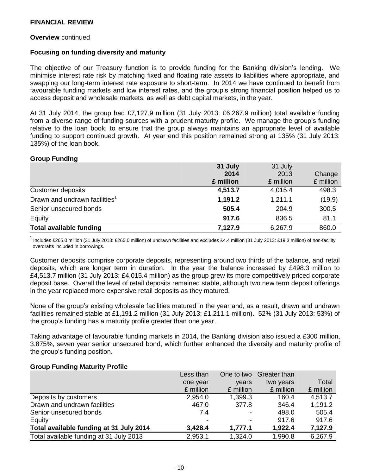#### **Overview** continued

#### **Focusing on funding diversity and maturity**

The objective of our Treasury function is to provide funding for the Banking division's lending. We minimise interest rate risk by matching fixed and floating rate assets to liabilities where appropriate, and swapping our long-term interest rate exposure to short-term. In 2014 we have continued to benefit from favourable funding markets and low interest rates, and the group's strong financial position helped us to access deposit and wholesale markets, as well as debt capital markets, in the year.

At 31 July 2014, the group had £7,127.9 million (31 July 2013: £6,267.9 million) total available funding from a diverse range of funding sources with a prudent maturity profile. We manage the group's funding relative to the loan book, to ensure that the group always maintains an appropriate level of available funding to support continued growth. At year end this position remained strong at 135% (31 July 2013: 135%) of the loan book.

#### **Group Funding**

|                                           | 31 July   | 31 July   |           |
|-------------------------------------------|-----------|-----------|-----------|
|                                           | 2014      | 2013      | Change    |
|                                           | £ million | £ million | £ million |
| Customer deposits                         | 4,513.7   | 4,015.4   | 498.3     |
| Drawn and undrawn facilities <sup>1</sup> | 1,191.2   | 1,211.1   | (19.9)    |
| Senior unsecured bonds                    | 505.4     | 204.9     | 300.5     |
| Equity                                    | 917.6     | 836.5     | 81.1      |
| <b>Total available funding</b>            | 7,127.9   | 6,267.9   | 860.0     |

<sup>1</sup> Includes £265.0 million (31 July 2013: £265.0 million) of undrawn facilities and excludes £4.4 million (31 July 2013: £19.3 million) of non-facility overdrafts included in borrowings.

Customer deposits comprise corporate deposits, representing around two thirds of the balance, and retail deposits, which are longer term in duration. In the year the balance increased by £498.3 million to £4,513.7 million (31 July 2013: £4,015.4 million) as the group grew its more competitively priced corporate deposit base. Overall the level of retail deposits remained stable, although two new term deposit offerings in the year replaced more expensive retail deposits as they matured.

None of the group's existing wholesale facilities matured in the year and, as a result, drawn and undrawn facilities remained stable at £1,191.2 million (31 July 2013: £1,211.1 million). 52% (31 July 2013: 53%) of the group's funding has a maturity profile greater than one year.

Taking advantage of favourable funding markets in 2014, the Banking division also issued a £300 million, 3.875%, seven year senior unsecured bond, which further enhanced the diversity and maturity profile of the group's funding position.

#### **Group Funding Maturity Profile**

|                                         | Less than | One to two | Greater than |           |
|-----------------------------------------|-----------|------------|--------------|-----------|
|                                         | one year  | vears      | two years    | Total     |
|                                         | £ million | £ million  | £ million    | £ million |
| Deposits by customers                   | 2,954.0   | 1,399.3    | 160.4        | 4,513.7   |
| Drawn and undrawn facilities            | 467.0     | 377.8      | 346.4        | 1,191.2   |
| Senior unsecured bonds                  | 7.4       | ۰          | 498.0        | 505.4     |
| Equity                                  |           |            | 917.6        | 917.6     |
| Total available funding at 31 July 2014 | 3,428.4   | 1,777.1    | 1,922.4      | 7,127.9   |
| Total available funding at 31 July 2013 | 2,953.1   | 1,324.0    | 1,990.8      | 6,267.9   |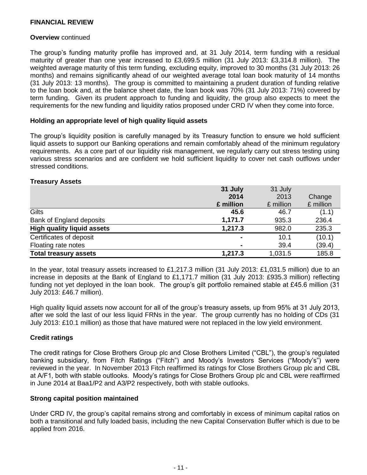#### **Overview** continued

The group's funding maturity profile has improved and, at 31 July 2014, term funding with a residual maturity of greater than one year increased to £3,699.5 million (31 July 2013: £3,314.8 million). The weighted average maturity of this term funding, excluding equity, improved to 30 months (31 July 2013: 26 months) and remains significantly ahead of our weighted average total loan book maturity of 14 months (31 July 2013: 13 months). The group is committed to maintaining a prudent duration of funding relative to the loan book and, at the balance sheet date, the loan book was 70% (31 July 2013: 71%) covered by term funding. Given its prudent approach to funding and liquidity, the group also expects to meet the requirements for the new funding and liquidity ratios proposed under CRD IV when they come into force.

#### **Holding an appropriate level of high quality liquid assets**

The group's liquidity position is carefully managed by its Treasury function to ensure we hold sufficient liquid assets to support our Banking operations and remain comfortably ahead of the minimum regulatory requirements. As a core part of our liquidity risk management, we regularly carry out stress testing using various stress scenarios and are confident we hold sufficient liquidity to cover net cash outflows under stressed conditions.

#### **Treasury Assets**

|                                   | 31 July        | 31 July   |           |
|-----------------------------------|----------------|-----------|-----------|
|                                   | 2014           | 2013      | Change    |
|                                   | £ million      | £ million | £ million |
| Gilts                             | 45.6           | 46.7      | (1.1)     |
| Bank of England deposits          | 1,171.7        | 935.3     | 236.4     |
| <b>High quality liquid assets</b> | 1,217.3        | 982.0     | 235.3     |
| Certificates of deposit           | $\blacksquare$ | 10.1      | (10.1)    |
| Floating rate notes               | $\blacksquare$ | 39.4      | (39.4)    |
| <b>Total treasury assets</b>      | 1,217.3        | 1,031.5   | 185.8     |

In the year, total treasury assets increased to £1,217.3 million (31 July 2013: £1,031.5 million) due to an increase in deposits at the Bank of England to £1,171.7 million (31 July 2013: £935.3 million) reflecting funding not yet deployed in the loan book. The group's gilt portfolio remained stable at £45.6 million (31 July 2013: £46.7 million).

High quality liquid assets now account for all of the group's treasury assets, up from 95% at 31 July 2013, after we sold the last of our less liquid FRNs in the year. The group currently has no holding of CDs (31 July 2013: £10.1 million) as those that have matured were not replaced in the low yield environment.

#### **Credit ratings**

The credit ratings for Close Brothers Group plc and Close Brothers Limited ("CBL"), the group's regulated banking subsidiary, from Fitch Ratings ("Fitch") and Moody's Investors Services ("Moody's") were reviewed in the year. In November 2013 Fitch reaffirmed its ratings for Close Brothers Group plc and CBL at A/F1, both with stable outlooks. Moody's ratings for Close Brothers Group plc and CBL were reaffirmed in June 2014 at Baa1/P2 and A3/P2 respectively, both with stable outlooks.

#### **Strong capital position maintained**

Under CRD IV, the group's capital remains strong and comfortably in excess of minimum capital ratios on both a transitional and fully loaded basis, including the new Capital Conservation Buffer which is due to be applied from 2016.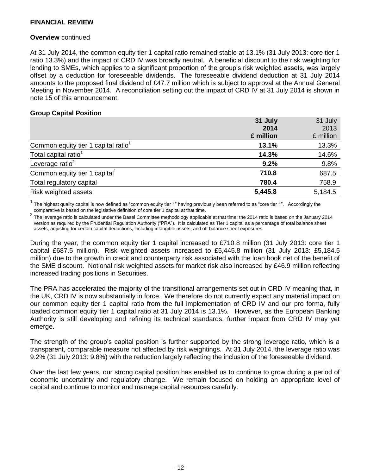#### **Overview** continued

At 31 July 2014, the common equity tier 1 capital ratio remained stable at 13.1% (31 July 2013: core tier 1 ratio 13.3%) and the impact of CRD IV was broadly neutral. A beneficial discount to the risk weighting for lending to SMEs, which applies to a significant proportion of the group's risk weighted assets, was largely offset by a deduction for foreseeable dividends. The foreseeable dividend deduction at 31 July 2014 amounts to the proposed final dividend of £47.7 million which is subject to approval at the Annual General Meeting in November 2014. A reconciliation setting out the impact of CRD IV at 31 July 2014 is shown in note 15 of this announcement.

#### **Group Capital Position**

|                                                 | 31 July   | 31 July   |  |
|-------------------------------------------------|-----------|-----------|--|
|                                                 | 2014      | 2013      |  |
|                                                 | £ million | £ million |  |
| Common equity tier 1 capital ratio <sup>1</sup> | 13.1%     | 13.3%     |  |
| Total capital ratio <sup>1</sup>                | 14.3%     | 14.6%     |  |
| Leverage ratio $2$                              | 9.2%      | 9.8%      |  |
| Common equity tier 1 capital <sup>1</sup>       | 710.8     | 687.5     |  |
| Total regulatory capital                        | 780.4     | 758.9     |  |
| Risk weighted assets                            | 5,445.8   | 5,184.5   |  |

 $1$  The highest quality capital is now defined as "common equity tier 1" having previously been referred to as "core tier 1". Accordingly the comparative is based on the legislative definition of core tier 1 capital at that time.

2 The leverage ratio is calculated under the Basel Committee methodology applicable at that time; the 2014 ratio is based on the January 2014 version as required by the Prudential Regulation Authority ("PRA"). It is calculated as Tier 1 capital as a percentage of total balance sheet assets, adjusting for certain capital deductions, including intangible assets, and off balance sheet exposures.

During the year, the common equity tier 1 capital increased to £710.8 million (31 July 2013: core tier 1 capital £687.5 million). Risk weighted assets increased to £5,445.8 million (31 July 2013: £5,184.5 million) due to the growth in credit and counterparty risk associated with the loan book net of the benefit of the SME discount. Notional risk weighted assets for market risk also increased by £46.9 million reflecting increased trading positions in Securities.

The PRA has accelerated the majority of the transitional arrangements set out in CRD IV meaning that, in the UK, CRD IV is now substantially in force. We therefore do not currently expect any material impact on our common equity tier 1 capital ratio from the full implementation of CRD IV and our pro forma, fully loaded common equity tier 1 capital ratio at 31 July 2014 is 13.1%. However, as the European Banking Authority is still developing and refining its technical standards, further impact from CRD IV may yet emerge.

The strength of the group's capital position is further supported by the strong leverage ratio, which is a transparent, comparable measure not affected by risk weightings. At 31 July 2014, the leverage ratio was 9.2% (31 July 2013: 9.8%) with the reduction largely reflecting the inclusion of the foreseeable dividend.

Over the last few years, our strong capital position has enabled us to continue to grow during a period of economic uncertainty and regulatory change. We remain focused on holding an appropriate level of capital and continue to monitor and manage capital resources carefully.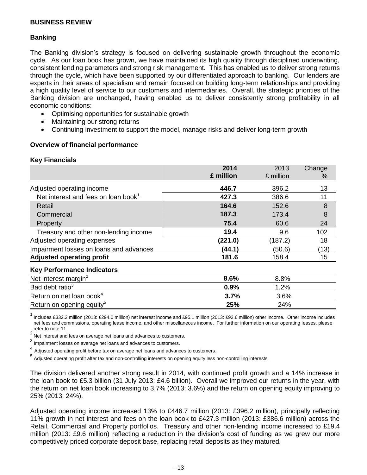## **Banking**

The Banking division's strategy is focused on delivering sustainable growth throughout the economic cycle. As our loan book has grown, we have maintained its high quality through disciplined underwriting, consistent lending parameters and strong risk management. This has enabled us to deliver strong returns through the cycle, which have been supported by our differentiated approach to banking. Our lenders are experts in their areas of specialism and remain focused on building long-term relationships and providing a high quality level of service to our customers and intermediaries. Overall, the strategic priorities of the Banking division are unchanged, having enabled us to deliver consistently strong profitability in all economic conditions:

- Optimising opportunities for sustainable growth
- Maintaining our strong returns
- Continuing investment to support the model, manage risks and deliver long-term growth

### **Overview of financial performance**

#### **Key Financials**

|                                                 | 2014      | 2013      | Change |
|-------------------------------------------------|-----------|-----------|--------|
|                                                 | £ million | £ million | $\%$   |
| Adjusted operating income                       | 446.7     | 396.2     | 13     |
| Net interest and fees on loan book <sup>1</sup> | 427.3     | 386.6     | 11     |
| Retail                                          | 164.6     | 152.6     | 8      |
| Commercial                                      | 187.3     | 173.4     | 8      |
| Property                                        | 75.4      | 60.6      | 24     |
| Treasury and other non-lending income           | 19.4      | 9.6       | 102    |
| Adjusted operating expenses                     | (221.0)   | (187.2)   | 18     |
| Impairment losses on loans and advances         | (44.1)    | (50.6)    | (13)   |
| <b>Adjusted operating profit</b>                | 181.6     | 158.4     | 15     |
| <b>Key Performance Indicators</b>               |           |           |        |
| Net interest margin <sup>2</sup>                | 8.6%      | 8.8%      |        |
| Bad debt ratio <sup>3</sup>                     | 0.9%      | 1.2%      |        |
| Return on net loan book <sup>4</sup>            | 3.7%      | 3.6%      |        |
| Return on opening equity <sup>5</sup>           | 25%       | 24%       |        |

<sup>1</sup>Includes £332.2 million (2013: £294.0 million) net interest income and £95.1 million (2013: £92.6 million) other income. Other income includes net fees and commissions, operating lease income, and other miscellaneous income. For further information on our operating leases, please refer to note 11.

2Net interest and fees on average net loans and advances to customers.

 $^3$  Impairment losses on average net loans and advances to customers.

4 Adjusted operating profit before tax on average net loans and advances to customers.

5 Adjusted operating profit after tax and non-controlling interests on opening equity less non-controlling interests.

The division delivered another strong result in 2014, with continued profit growth and a 14% increase in the loan book to £5.3 billion (31 July 2013: £4.6 billion). Overall we improved our returns in the year, with the return on net loan book increasing to 3.7% (2013: 3.6%) and the return on opening equity improving to 25% (2013: 24%).

Adjusted operating income increased 13% to £446.7 million (2013: £396.2 million), principally reflecting 11% growth in net interest and fees on the loan book to £427.3 million (2013: £386.6 million) across the Retail, Commercial and Property portfolios. Treasury and other non-lending income increased to £19.4 million (2013: £9.6 million) reflecting a reduction in the division's cost of funding as we grew our more competitively priced corporate deposit base, replacing retail deposits as they matured.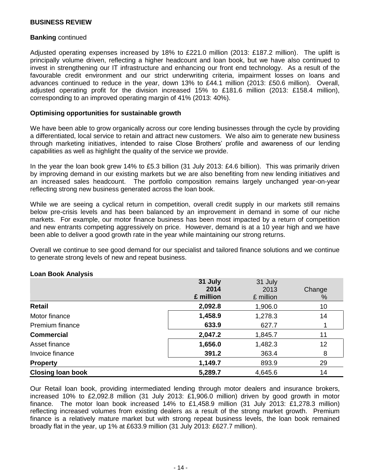#### **Banking** continued

Adjusted operating expenses increased by 18% to £221.0 million (2013: £187.2 million). The uplift is principally volume driven, reflecting a higher headcount and loan book, but we have also continued to invest in strengthening our IT infrastructure and enhancing our front end technology. As a result of the favourable credit environment and our strict underwriting criteria, impairment losses on loans and advances continued to reduce in the year, down 13% to £44.1 million (2013: £50.6 million). Overall, adjusted operating profit for the division increased 15% to £181.6 million (2013: £158.4 million), corresponding to an improved operating margin of 41% (2013: 40%).

#### **Optimising opportunities for sustainable growth**

We have been able to grow organically across our core lending businesses through the cycle by providing a differentiated, local service to retain and attract new customers. We also aim to generate new business through marketing initiatives, intended to raise Close Brothers' profile and awareness of our lending capabilities as well as highlight the quality of the service we provide.

In the year the loan book grew 14% to £5.3 billion (31 July 2013: £4.6 billion). This was primarily driven by improving demand in our existing markets but we are also benefiting from new lending initiatives and an increased sales headcount. The portfolio composition remains largely unchanged year-on-year reflecting strong new business generated across the loan book.

While we are seeing a cyclical return in competition, overall credit supply in our markets still remains below pre-crisis levels and has been balanced by an improvement in demand in some of our niche markets. For example, our motor finance business has been most impacted by a return of competition and new entrants competing aggressively on price. However, demand is at a 10 year high and we have been able to deliver a good growth rate in the year while maintaining our strong returns.

Overall we continue to see good demand for our specialist and tailored finance solutions and we continue to generate strong levels of new and repeat business.

|                          | 31 July   | 31 July   |        |
|--------------------------|-----------|-----------|--------|
|                          | 2014      | 2013      | Change |
|                          | £ million | £ million | %      |
| Retail                   | 2,092.8   | 1,906.0   | 10     |
| Motor finance            | 1,458.9   | 1,278.3   | 14     |
| Premium finance          | 633.9     | 627.7     |        |
| <b>Commercial</b>        | 2,047.2   | 1,845.7   | 11     |
| Asset finance            | 1,656.0   | 1,482.3   | 12     |
| Invoice finance          | 391.2     | 363.4     | 8      |
| <b>Property</b>          | 1,149.7   | 893.9     | 29     |
| <b>Closing loan book</b> | 5,289.7   | 4,645.6   | 14     |

#### **Loan Book Analysis**

Our Retail loan book, providing intermediated lending through motor dealers and insurance brokers, increased 10% to £2,092.8 million (31 July 2013: £1,906.0 million) driven by good growth in motor finance. The motor loan book increased 14% to £1,458.9 million (31 July 2013: £1,278.3 million) reflecting increased volumes from existing dealers as a result of the strong market growth. Premium finance is a relatively mature market but with strong repeat business levels, the loan book remained broadly flat in the year, up 1% at £633.9 million (31 July 2013: £627.7 million).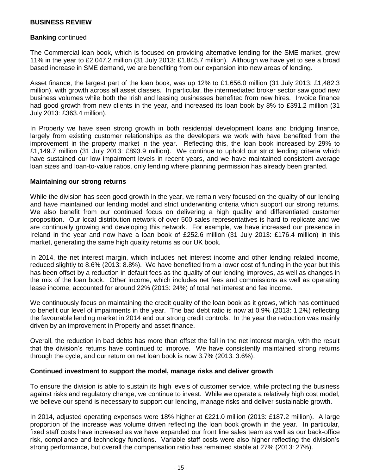#### **Banking** continued

The Commercial loan book, which is focused on providing alternative lending for the SME market, grew 11% in the year to £2,047.2 million (31 July 2013: £1,845.7 million). Although we have yet to see a broad based increase in SME demand, we are benefiting from our expansion into new areas of lending.

Asset finance, the largest part of the loan book, was up 12% to £1,656.0 million (31 July 2013: £1,482.3 million), with growth across all asset classes. In particular, the intermediated broker sector saw good new business volumes while both the Irish and leasing businesses benefited from new hires. Invoice finance had good growth from new clients in the year, and increased its loan book by 8% to £391.2 million (31 July 2013: £363.4 million).

In Property we have seen strong growth in both residential development loans and bridging finance, largely from existing customer relationships as the developers we work with have benefited from the improvement in the property market in the year. Reflecting this, the loan book increased by 29% to £1,149.7 million (31 July 2013: £893.9 million). We continue to uphold our strict lending criteria which have sustained our low impairment levels in recent years, and we have maintained consistent average loan sizes and loan-to-value ratios, only lending where planning permission has already been granted.

#### **Maintaining our strong returns**

While the division has seen good growth in the year, we remain very focused on the quality of our lending and have maintained our lending model and strict underwriting criteria which support our strong returns. We also benefit from our continued focus on delivering a high quality and differentiated customer proposition. Our local distribution network of over 500 sales representatives is hard to replicate and we are continually growing and developing this network. For example, we have increased our presence in Ireland in the year and now have a loan book of £252.6 million (31 July 2013: £176.4 million) in this market, generating the same high quality returns as our UK book.

In 2014, the net interest margin, which includes net interest income and other lending related income, reduced slightly to 8.6% (2013: 8.8%). We have benefited from a lower cost of funding in the year but this has been offset by a reduction in default fees as the quality of our lending improves, as well as changes in the mix of the loan book. Other income, which includes net fees and commissions as well as operating lease income, accounted for around 22% (2013: 24%) of total net interest and fee income.

We continuously focus on maintaining the credit quality of the loan book as it grows, which has continued to benefit our level of impairments in the year. The bad debt ratio is now at 0.9% (2013: 1.2%) reflecting the favourable lending market in 2014 and our strong credit controls. In the year the reduction was mainly driven by an improvement in Property and asset finance.

Overall, the reduction in bad debts has more than offset the fall in the net interest margin, with the result that the division's returns have continued to improve. We have consistently maintained strong returns through the cycle, and our return on net loan book is now 3.7% (2013: 3.6%).

#### **Continued investment to support the model, manage risks and deliver growth**

To ensure the division is able to sustain its high levels of customer service, while protecting the business against risks and regulatory change, we continue to invest. While we operate a relatively high cost model, we believe our spend is necessary to support our lending, manage risks and deliver sustainable growth.

In 2014, adjusted operating expenses were 18% higher at £221.0 million (2013: £187.2 million). A large proportion of the increase was volume driven reflecting the loan book growth in the year. In particular, fixed staff costs have increased as we have expanded our front line sales team as well as our back-office risk, compliance and technology functions. Variable staff costs were also higher reflecting the division's strong performance, but overall the compensation ratio has remained stable at 27% (2013: 27%).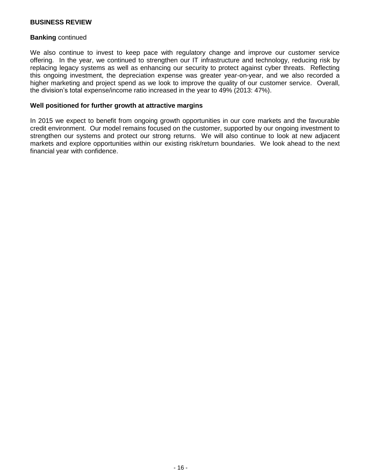#### **Banking** continued

We also continue to invest to keep pace with regulatory change and improve our customer service offering. In the year, we continued to strengthen our IT infrastructure and technology, reducing risk by replacing legacy systems as well as enhancing our security to protect against cyber threats. Reflecting this ongoing investment, the depreciation expense was greater year-on-year, and we also recorded a higher marketing and project spend as we look to improve the quality of our customer service. Overall, the division's total expense/income ratio increased in the year to 49% (2013: 47%).

#### **Well positioned for further growth at attractive margins**

In 2015 we expect to benefit from ongoing growth opportunities in our core markets and the favourable credit environment. Our model remains focused on the customer, supported by our ongoing investment to strengthen our systems and protect our strong returns. We will also continue to look at new adjacent markets and explore opportunities within our existing risk/return boundaries. We look ahead to the next financial year with confidence.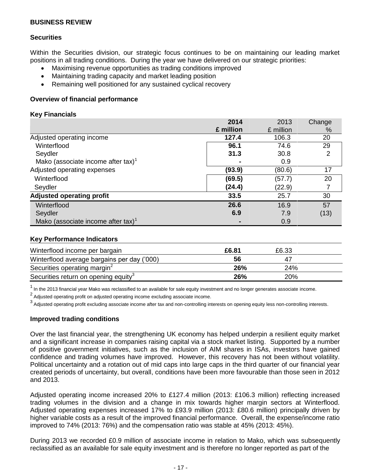## **Securities**

Within the Securities division, our strategic focus continues to be on maintaining our leading market positions in all trading conditions. During the year we have delivered on our strategic priorities:

- Maximising revenue opportunities as trading conditions improved
- Maintaining trading capacity and market leading position
- Remaining well positioned for any sustained cyclical recovery

## **Overview of financial performance**

### **Key Financials**

|                                                | 2014      | 2013      | Change |
|------------------------------------------------|-----------|-----------|--------|
|                                                | £ million | £ million | $\%$   |
| Adjusted operating income                      | 127.4     | 106.3     | 20     |
| Winterflood                                    | 96.1      | 74.6      | 29     |
| Seydler                                        | 31.3      | 30.8      | 2      |
| Mako (associate income after tax) <sup>1</sup> |           | 0.9       |        |
| Adjusted operating expenses                    | (93.9)    | (80.6)    | 17     |
| Winterflood                                    | (69.5)    | (57.7)    | 20     |
| Seydler                                        | (24.4)    | (22.9)    |        |
| <b>Adjusted operating profit</b>               | 33.5      | 25.7      | 30     |
| Winterflood                                    | 26.6      | 16.9      | 57     |
| Seydler                                        | 6.9       | 7.9       | (13)   |
| Mako (associate income after tax) <sup>1</sup> |           | 0.9       |        |

## **Key Performance Indicators**

| Winterflood income per bargain                   | £6.81 | £6.33      |  |
|--------------------------------------------------|-------|------------|--|
| Winterflood average bargains per day ('000)      | 56    | 47         |  |
| Securities operating margin <sup>2</sup>         | 26%   | 24%        |  |
| Securities return on opening equity <sup>3</sup> | 26%   | <b>20%</b> |  |

<sup>1</sup> In the 2013 financial year Mako was reclassified to an available for sale equity investment and no longer generates associate income.

2<br>Adjusted operating profit on adjusted operating income excluding associate income.

<sup>3</sup> Adjusted operating profit excluding associate income after tax and non-controlling interests on opening equity less non-controlling interests.

#### **Improved trading conditions**

Over the last financial year, the strengthening UK economy has helped underpin a resilient equity market and a significant increase in companies raising capital via a stock market listing. Supported by a number of positive government initiatives, such as the inclusion of AIM shares in ISAs, investors have gained confidence and trading volumes have improved. However, this recovery has not been without volatility. Political uncertainty and a rotation out of mid caps into large caps in the third quarter of our financial year created periods of uncertainty, but overall, conditions have been more favourable than those seen in 2012 and 2013.

Adjusted operating income increased 20% to £127.4 million (2013: £106.3 million) reflecting increased trading volumes in the division and a change in mix towards higher margin sectors at Winterflood. Adjusted operating expenses increased 17% to £93.9 million (2013: £80.6 million) principally driven by higher variable costs as a result of the improved financial performance. Overall, the expense/income ratio improved to 74% (2013: 76%) and the compensation ratio was stable at 45% (2013: 45%).

During 2013 we recorded £0.9 million of associate income in relation to Mako, which was subsequently reclassified as an available for sale equity investment and is therefore no longer reported as part of the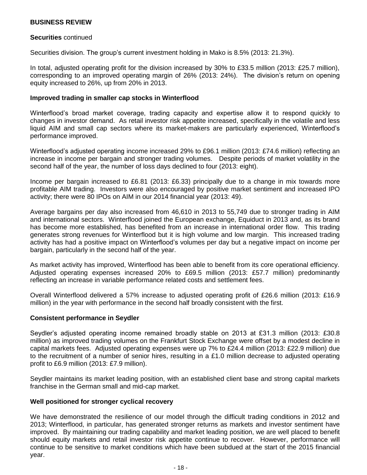#### **Securities** continued

Securities division. The group's current investment holding in Mako is 8.5% (2013: 21.3%).

In total, adjusted operating profit for the division increased by 30% to £33.5 million (2013: £25.7 million), corresponding to an improved operating margin of 26% (2013: 24%). The division's return on opening equity increased to 26%, up from 20% in 2013.

#### **Improved trading in smaller cap stocks in Winterflood**

Winterflood's broad market coverage, trading capacity and expertise allow it to respond quickly to changes in investor demand. As retail investor risk appetite increased, specifically in the volatile and less liquid AIM and small cap sectors where its market-makers are particularly experienced, Winterflood's performance improved.

Winterflood's adjusted operating income increased 29% to £96.1 million (2013: £74.6 million) reflecting an increase in income per bargain and stronger trading volumes. Despite periods of market volatility in the second half of the year, the number of loss days declined to four (2013: eight).

Income per bargain increased to £6.81 (2013: £6.33) principally due to a change in mix towards more profitable AIM trading. Investors were also encouraged by positive market sentiment and increased IPO activity; there were 80 IPOs on AIM in our 2014 financial year (2013: 49).

Average bargains per day also increased from 46,610 in 2013 to 55,749 due to stronger trading in AIM and international sectors. Winterflood joined the European exchange, Equiduct in 2013 and, as its brand has become more established, has benefited from an increase in international order flow. This trading generates strong revenues for Winterflood but it is high volume and low margin. This increased trading activity has had a positive impact on Winterflood's volumes per day but a negative impact on income per bargain, particularly in the second half of the year.

As market activity has improved, Winterflood has been able to benefit from its core operational efficiency. Adjusted operating expenses increased 20% to £69.5 million (2013: £57.7 million) predominantly reflecting an increase in variable performance related costs and settlement fees.

Overall Winterflood delivered a 57% increase to adjusted operating profit of £26.6 million (2013: £16.9 million) in the year with performance in the second half broadly consistent with the first.

#### **Consistent performance in Seydler**

Seydler's adjusted operating income remained broadly stable on 2013 at £31.3 million (2013: £30.8 million) as improved trading volumes on the Frankfurt Stock Exchange were offset by a modest decline in capital markets fees. Adjusted operating expenses were up 7% to £24.4 million (2013: £22.9 million) due to the recruitment of a number of senior hires, resulting in a  $£1.0$  million decrease to adjusted operating profit to £6.9 million (2013: £7.9 million).

Seydler maintains its market leading position, with an established client base and strong capital markets franchise in the German small and mid-cap market.

#### **Well positioned for stronger cyclical recovery**

We have demonstrated the resilience of our model through the difficult trading conditions in 2012 and 2013; Winterflood, in particular, has generated stronger returns as markets and investor sentiment have improved. By maintaining our trading capability and market leading position, we are well placed to benefit should equity markets and retail investor risk appetite continue to recover. However, performance will continue to be sensitive to market conditions which have been subdued at the start of the 2015 financial year.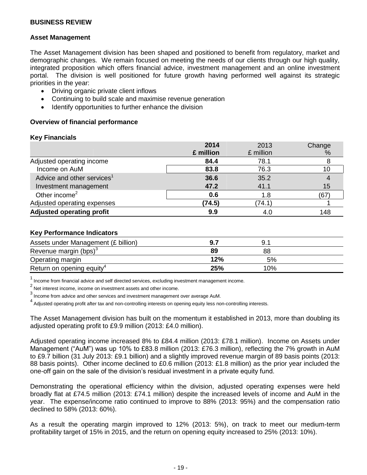#### **Asset Management**

The Asset Management division has been shaped and positioned to benefit from regulatory, market and demographic changes. We remain focused on meeting the needs of our clients through our high quality, integrated proposition which offers financial advice, investment management and an online investment portal. The division is well positioned for future growth having performed well against its strategic priorities in the year:

- Driving organic private client inflows
- Continuing to build scale and maximise revenue generation
- Identify opportunities to further enhance the division

### **Overview of financial performance**

#### **Key Financials**

|                                        | 2014      | 2013      | Change |
|----------------------------------------|-----------|-----------|--------|
|                                        | £ million | £ million | %      |
| Adjusted operating income              | 84.4      | 78.1      |        |
| Income on AuM                          | 83.8      | 76.3      | 10     |
| Advice and other services <sup>1</sup> | 36.6      | 35.2      |        |
| Investment management                  | 47.2      | 41.1      | 15     |
| Other income <sup>2</sup>              | 0.6       | 1.8       | (67    |
| Adjusted operating expenses            | (74.5)    | (74.1)    |        |
| <b>Adjusted operating profit</b>       | 9.9       | 4.0       | 148    |

#### **Key Performance Indicators**

| Assets under Management (£ billion)   |     | u.  |  |
|---------------------------------------|-----|-----|--|
| Revenue margin (bps) <sup>3</sup>     | 89  | 88  |  |
| Operating margin                      | 12% | 5%  |  |
| Return on opening equity <sup>4</sup> | 25% | 10% |  |

 $1$  Income from financial advice and self directed services, excluding investment management income.

 $2$  Net interest income, income on investment assets and other income.

 $^3$  Income from advice and other services and investment management over average AuM.

<sup>4</sup> Adjusted operating profit after tax and non-controlling interests on opening equity less non-controlling interests.

The Asset Management division has built on the momentum it established in 2013, more than doubling its adjusted operating profit to £9.9 million (2013: £4.0 million).

Adjusted operating income increased 8% to £84.4 million (2013: £78.1 million). Income on Assets under Management ("AuM") was up 10% to £83.8 million (2013: £76.3 million), reflecting the 7% growth in AuM to £9.7 billion (31 July 2013: £9.1 billion) and a slightly improved revenue margin of 89 basis points (2013: 88 basis points). Other income declined to £0.6 million (2013: £1.8 million) as the prior year included the one-off gain on the sale of the division's residual investment in a private equity fund.

Demonstrating the operational efficiency within the division, adjusted operating expenses were held broadly flat at £74.5 million (2013: £74.1 million) despite the increased levels of income and AuM in the year. The expense/income ratio continued to improve to 88% (2013: 95%) and the compensation ratio declined to 58% (2013: 60%).

As a result the operating margin improved to 12% (2013: 5%), on track to meet our medium-term profitability target of 15% in 2015, and the return on opening equity increased to 25% (2013: 10%).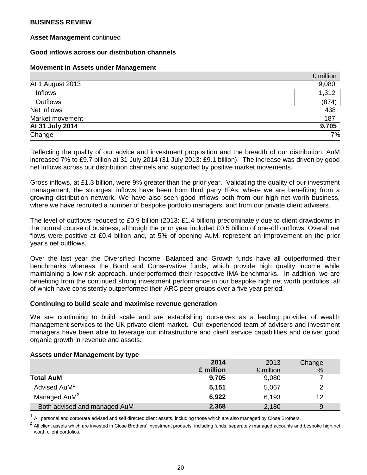### **Asset Management** continued

### **Good inflows across our distribution channels**

#### **Movement in Assets under Management**

|                  | £ million |
|------------------|-----------|
| At 1 August 2013 | 9,080     |
| Inflows          | 1,312     |
| Outflows         | (874)     |
| Net inflows      | 438       |
| Market movement  | 187       |
| At 31 July 2014  | 9,705     |
| Change           | 7%        |

Reflecting the quality of our advice and investment proposition and the breadth of our distribution, AuM increased 7% to £9.7 billion at 31 July 2014 (31 July 2013: £9.1 billion). The increase was driven by good net inflows across our distribution channels and supported by positive market movements.

Gross inflows, at £1.3 billion, were 9% greater than the prior year. Validating the quality of our investment management, the strongest inflows have been from third party IFAs, where we are benefiting from a growing distribution network. We have also seen good inflows both from our high net worth business, where we have recruited a number of bespoke portfolio managers, and from our private client advisers.

The level of outflows reduced to £0.9 billion (2013: £1.4 billion) predominately due to client drawdowns in the normal course of business, although the prior year included £0.5 billion of one-off outflows. Overall net flows were positive at £0.4 billion and, at 5% of opening AuM, represent an improvement on the prior year's net outflows.

Over the last year the Diversified Income, Balanced and Growth funds have all outperformed their benchmarks whereas the Bond and Conservative funds, which provide high quality income while maintaining a low risk approach, underperformed their respective IMA benchmarks. In addition, we are benefiting from the continued strong investment performance in our bespoke high net worth portfolios, all of which have consistently outperformed their ARC peer groups over a five year period.

#### **Continuing to build scale and maximise revenue generation**

We are continuing to build scale and are establishing ourselves as a leading provider of wealth management services to the UK private client market. Our experienced team of advisers and investment managers have been able to leverage our infrastructure and client service capabilities and deliver good organic growth in revenue and assets.

#### **Assets under Management by type**

|                              | 2014      | 2013      | Change |
|------------------------------|-----------|-----------|--------|
|                              | £ million | £ million | %      |
| <b>Total AuM</b>             | 9,705     | 9,080     |        |
| Advised AuM <sup>1</sup>     | 5,151     | 5,067     |        |
| Managed AuM <sup>2</sup>     | 6,922     | 6,193     | 12     |
| Both advised and managed AuM | 2,368     | 2,180     | 9      |

1 All personal and corporate advised and self directed client assets, including those which are also managed by Close Brothers.

2 All client assets which are invested in Close Brothers' investment products, including funds, separately managed accounts and bespoke high net worth client portfolios.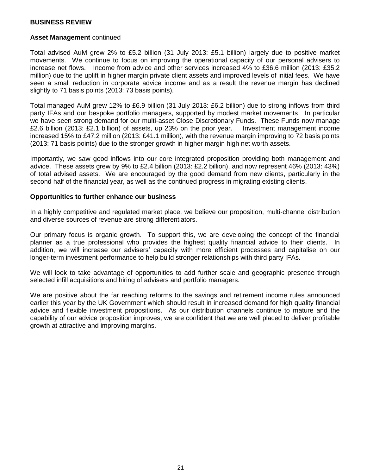#### **Asset Management** continued

Total advised AuM grew 2% to £5.2 billion (31 July 2013: £5.1 billion) largely due to positive market movements. We continue to focus on improving the operational capacity of our personal advisers to increase net flows. Income from advice and other services increased 4% to £36.6 million (2013: £35.2 million) due to the uplift in higher margin private client assets and improved levels of initial fees. We have seen a small reduction in corporate advice income and as a result the revenue margin has declined slightly to 71 basis points (2013: 73 basis points).

Total managed AuM grew 12% to £6.9 billion (31 July 2013: £6.2 billion) due to strong inflows from third party IFAs and our bespoke portfolio managers, supported by modest market movements. In particular we have seen strong demand for our multi-asset Close Discretionary Funds. These Funds now manage £2.6 billion (2013: £2.1 billion) of assets, up 23% on the prior year. Investment management income increased 15% to £47.2 million (2013: £41.1 million), with the revenue margin improving to 72 basis points (2013: 71 basis points) due to the stronger growth in higher margin high net worth assets.

Importantly, we saw good inflows into our core integrated proposition providing both management and advice. These assets grew by 9% to £2.4 billion (2013: £2.2 billion), and now represent 46% (2013: 43%) of total advised assets. We are encouraged by the good demand from new clients, particularly in the second half of the financial year, as well as the continued progress in migrating existing clients.

#### **Opportunities to further enhance our business**

In a highly competitive and regulated market place, we believe our proposition, multi-channel distribution and diverse sources of revenue are strong differentiators.

Our primary focus is organic growth. To support this, we are developing the concept of the financial planner as a true professional who provides the highest quality financial advice to their clients. In addition, we will increase our advisers' capacity with more efficient processes and capitalise on our longer-term investment performance to help build stronger relationships with third party IFAs.

We will look to take advantage of opportunities to add further scale and geographic presence through selected infill acquisitions and hiring of advisers and portfolio managers.

We are positive about the far reaching reforms to the savings and retirement income rules announced earlier this year by the UK Government which should result in increased demand for high quality financial advice and flexible investment propositions. As our distribution channels continue to mature and the capability of our advice proposition improves, we are confident that we are well placed to deliver profitable growth at attractive and improving margins.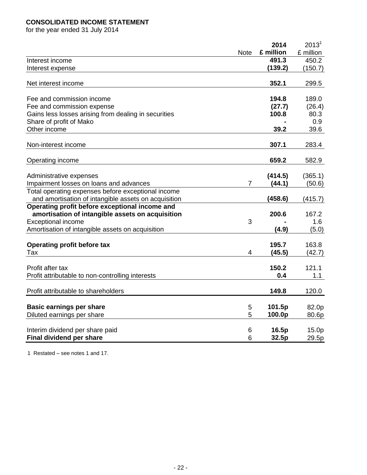## **CONSOLIDATED INCOME STATEMENT**

for the year ended 31 July 2014

|                                                               |                | 2014      | 2013 <sup>1</sup> |
|---------------------------------------------------------------|----------------|-----------|-------------------|
|                                                               | <b>Note</b>    | £ million | £ million         |
| Interest income                                               |                | 491.3     | 450.2             |
| Interest expense                                              |                | (139.2)   | (150.7)           |
| Net interest income                                           |                | 352.1     | 299.5             |
| Fee and commission income                                     |                | 194.8     | 189.0             |
| Fee and commission expense                                    |                | (27.7)    | (26.4)            |
| Gains less losses arising from dealing in securities          |                | 100.8     | 80.3              |
| Share of profit of Mako                                       |                |           | 0.9               |
| Other income                                                  |                | 39.2      | 39.6              |
| Non-interest income                                           |                | 307.1     | 283.4             |
| Operating income                                              |                | 659.2     | 582.9             |
| Administrative expenses                                       |                | (414.5)   | (365.1)           |
| Impairment losses on loans and advances                       | $\overline{7}$ | (44.1)    | (50.6)            |
| Total operating expenses before exceptional income            |                |           |                   |
| and amortisation of intangible assets on acquisition          |                | (458.6)   | (415.7)           |
| Operating profit before exceptional income and                |                |           |                   |
| amortisation of intangible assets on acquisition              |                | 200.6     | 167.2             |
| <b>Exceptional income</b>                                     | 3              |           | 1.6               |
| Amortisation of intangible assets on acquisition              |                | (4.9)     | (5.0)             |
| <b>Operating profit before tax</b>                            |                | 195.7     | 163.8             |
| Tax                                                           | 4              | (45.5)    | (42.7)            |
| Profit after tax                                              |                | 150.2     | 121.1             |
| Profit attributable to non-controlling interests              |                | 0.4       | 1.1               |
| Profit attributable to shareholders                           |                | 149.8     | 120.0             |
|                                                               | 5              | 101.5p    | 82.0p             |
| <b>Basic earnings per share</b><br>Diluted earnings per share | 5              | 100.0p    | 80.6p             |
|                                                               |                |           |                   |
| Interim dividend per share paid                               | 6              | 16.5p     | 15.0p             |
| <b>Final dividend per share</b>                               | 6              | 32.5p     | 29.5p             |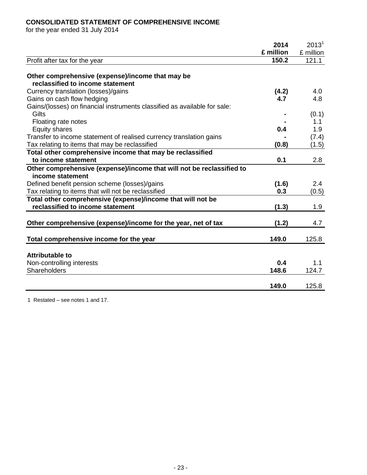## **CONSOLIDATED STATEMENT OF COMPREHENSIVE INCOME**

for the year ended 31 July 2014

|                                                                           | 2014      | 2013 <sup>1</sup> |
|---------------------------------------------------------------------------|-----------|-------------------|
|                                                                           | £ million | £ million         |
| Profit after tax for the year                                             | 150.2     | 121.1             |
|                                                                           |           |                   |
| Other comprehensive (expense)/income that may be                          |           |                   |
| reclassified to income statement                                          |           |                   |
| Currency translation (losses)/gains                                       | (4.2)     | 4.0               |
| Gains on cash flow hedging                                                | 4.7       | 4.8               |
| Gains/(losses) on financial instruments classified as available for sale: |           |                   |
| Gilts                                                                     |           | (0.1)             |
| Floating rate notes                                                       |           | 1.1               |
| <b>Equity shares</b>                                                      | 0.4       | 1.9               |
| Transfer to income statement of realised currency translation gains       |           | (7.4)             |
| Tax relating to items that may be reclassified                            | (0.8)     | (1.5)             |
| Total other comprehensive income that may be reclassified                 |           |                   |
| to income statement                                                       | 0.1       | 2.8               |
| Other comprehensive (expense)/income that will not be reclassified to     |           |                   |
| income statement                                                          |           |                   |
| Defined benefit pension scheme (losses)/gains                             | (1.6)     | 2.4               |
| Tax relating to items that will not be reclassified                       | 0.3       | (0.5)             |
| Total other comprehensive (expense)/income that will not be               |           |                   |
| reclassified to income statement                                          | (1.3)     | 1.9               |
|                                                                           |           |                   |
| Other comprehensive (expense)/income for the year, net of tax             | (1.2)     | 4.7               |
|                                                                           |           |                   |
| Total comprehensive income for the year                                   | 149.0     | 125.8             |
|                                                                           |           |                   |
| <b>Attributable to</b>                                                    |           |                   |
| Non-controlling interests                                                 | 0.4       | 1.1               |
| Shareholders                                                              | 148.6     | 124.7             |
|                                                                           |           |                   |
|                                                                           | 149.0     | 125.8             |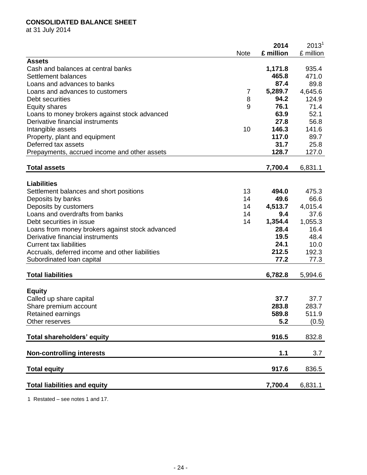## **CONSOLIDATED BALANCE SHEET**

at 31 July 2014

|                                                 |             | 2014      | 2013 <sup>1</sup> |
|-------------------------------------------------|-------------|-----------|-------------------|
|                                                 | <b>Note</b> | £ million | £ million         |
| <b>Assets</b>                                   |             |           |                   |
| Cash and balances at central banks              |             | 1,171.8   | 935.4             |
| Settlement balances                             |             | 465.8     | 471.0             |
| Loans and advances to banks                     |             | 87.4      | 89.8              |
| Loans and advances to customers                 | 7           | 5,289.7   | 4,645.6           |
| Debt securities                                 | 8           | 94.2      | 124.9             |
| <b>Equity shares</b>                            | 9           | 76.1      | 71.4              |
| Loans to money brokers against stock advanced   |             | 63.9      | 52.1              |
| Derivative financial instruments                |             | 27.8      | 56.8              |
| Intangible assets                               | 10          | 146.3     | 141.6             |
| Property, plant and equipment                   |             | 117.0     | 89.7              |
| Deferred tax assets                             |             | 31.7      | 25.8              |
| Prepayments, accrued income and other assets    |             | 128.7     | 127.0             |
|                                                 |             |           |                   |
| <b>Total assets</b>                             |             | 7,700.4   | 6,831.1           |
|                                                 |             |           |                   |
| <b>Liabilities</b>                              |             |           |                   |
| Settlement balances and short positions         | 13          | 494.0     | 475.3             |
| Deposits by banks                               | 14          | 49.6      | 66.6              |
| Deposits by customers                           | 14          | 4,513.7   | 4,015.4           |
| Loans and overdrafts from banks                 | 14          | 9.4       | 37.6              |
| Debt securities in issue                        | 14          | 1,354.4   | 1,055.3           |
| Loans from money brokers against stock advanced |             | 28.4      | 16.4              |
| Derivative financial instruments                |             | 19.5      | 48.4              |
| <b>Current tax liabilities</b>                  |             | 24.1      | 10.0              |
| Accruals, deferred income and other liabilities |             | 212.5     | 192.3             |
| Subordinated Ioan capital                       |             | 77.2      | 77.3              |
|                                                 |             |           |                   |
| <b>Total liabilities</b>                        |             | 6,782.8   | 5,994.6           |
|                                                 |             |           |                   |
| <b>Equity</b>                                   |             |           |                   |
| Called up share capital                         |             | 37.7      | 37.7              |
| Share premium account                           |             | 283.8     | 283.7             |
| Retained earnings                               |             | 589.8     | 511.9             |
| Other reserves                                  |             | 5.2       | (0.5)             |
|                                                 |             |           |                   |
| <b>Total shareholders' equity</b>               |             | 916.5     | 832.8             |
| <b>Non-controlling interests</b>                |             | 1.1       | 3.7               |
| <b>Total equity</b>                             |             | 917.6     | 836.5             |
|                                                 |             |           |                   |
| <b>Total liabilities and equity</b>             |             | 7,700.4   | 6,831.1           |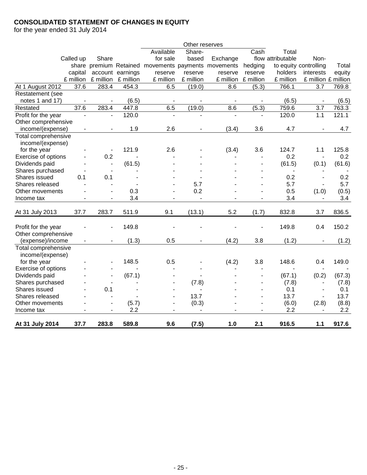## **CONSOLIDATED STATEMENT OF CHANGES IN EQUITY**

for the year ended 31 July 2014

|                     |                          |                          |                  |                                           | Other reserves           |           |           |                   |                          |        |
|---------------------|--------------------------|--------------------------|------------------|-------------------------------------------|--------------------------|-----------|-----------|-------------------|--------------------------|--------|
|                     |                          |                          |                  | Available                                 | Share-                   |           | Cash      | Total             |                          |        |
|                     | Called up                | Share                    |                  | for sale                                  | based                    | Exchange  |           | flow attributable | Non-                     |        |
|                     |                          |                          |                  | share premium Retained movements payments |                          | movements | hedging   |                   | to equity controlling    | Total  |
|                     | capital                  |                          | account earnings | reserve                                   | reserve                  | reserve   | reserve   | holders           | interests                | equity |
|                     | £ million                | £ million                | £ million        | £ million                                 | £ million                | £ million | £ million | £ million         | £ million £ million      |        |
| At 1 August 2012    | 37.6                     | 283.4                    | 454.3            | 6.5                                       | (19.0)                   | 8.6       | (5.3)     | 766.1             | 3.7                      | 769.8  |
| Restatement (see    |                          |                          |                  |                                           |                          |           |           |                   |                          |        |
| notes 1 and 17)     |                          |                          | (6.5)            |                                           |                          |           |           | (6.5)             |                          | (6.5)  |
| Restated            | 37.6                     | 283.4                    | 447.8            | 6.5                                       | (19.0)                   | 8.6       | (5.3)     | 759.6             | 3.7                      | 763.3  |
| Profit for the year |                          |                          | 120.0            |                                           |                          |           |           | 120.0             | 1.1                      | 121.1  |
| Other comprehensive |                          |                          |                  |                                           |                          |           |           |                   |                          |        |
| income/(expense)    | $\overline{\phantom{a}}$ | $\overline{\phantom{a}}$ | 1.9              | 2.6                                       | $\overline{\phantom{a}}$ | (3.4)     | 3.6       | 4.7               | $\overline{\phantom{a}}$ | 4.7    |
| Total comprehensive |                          |                          |                  |                                           |                          |           |           |                   |                          |        |
| income/(expense)    |                          |                          |                  |                                           |                          |           |           |                   |                          |        |
| for the year        |                          | $\overline{\phantom{a}}$ | 121.9            | 2.6                                       |                          | (3.4)     | 3.6       | 124.7             | 1.1                      | 125.8  |
| Exercise of options |                          | 0.2                      |                  |                                           |                          |           |           | 0.2               | $\overline{\phantom{a}}$ | 0.2    |
| Dividends paid      |                          | $\blacksquare$           | (61.5)           |                                           |                          |           |           | (61.5)            | (0.1)                    | (61.6) |
| Shares purchased    |                          | $\blacksquare$           |                  |                                           |                          |           |           |                   |                          |        |
| Shares issued       | 0.1                      | 0.1                      |                  |                                           |                          |           |           | 0.2               | $\blacksquare$           | 0.2    |
| Shares released     |                          |                          |                  |                                           | 5.7                      |           |           | 5.7               |                          | 5.7    |
| Other movements     |                          |                          | 0.3              |                                           | 0.2                      |           |           | 0.5               | (1.0)                    | (0.5)  |
| Income tax          | ä,                       | $\blacksquare$           | 3.4              | $\blacksquare$                            | ä,                       |           |           | 3.4               | $\blacksquare$           | 3.4    |
|                     |                          |                          |                  |                                           |                          |           |           |                   |                          |        |
| At 31 July 2013     | 37.7                     | 283.7                    | 511.9            | 9.1                                       | (13.1)                   | 5.2       | (1.7)     | 832.8             | 3.7                      | 836.5  |
|                     |                          |                          |                  |                                           |                          |           |           |                   |                          |        |
| Profit for the year |                          |                          | 149.8            |                                           |                          |           |           | 149.8             | 0.4                      | 150.2  |
| Other comprehensive |                          |                          |                  |                                           |                          |           |           |                   |                          |        |
| (expense)/income    |                          |                          | (1.3)            | 0.5                                       |                          | (4.2)     | 3.8       | (1.2)             |                          | (1.2)  |
| Total comprehensive |                          |                          |                  |                                           |                          |           |           |                   |                          |        |
| income/(expense)    |                          |                          |                  |                                           |                          |           |           |                   |                          |        |
| for the year        |                          |                          | 148.5            | 0.5                                       |                          | (4.2)     | 3.8       | 148.6             | 0.4                      | 149.0  |
| Exercise of options |                          |                          |                  |                                           |                          |           |           |                   |                          |        |
| Dividends paid      |                          |                          | (67.1)           |                                           |                          |           |           | (67.1)            | (0.2)                    | (67.3) |
| Shares purchased    |                          | $\blacksquare$           |                  |                                           | (7.8)                    |           | ä,        | (7.8)             | $\overline{\phantom{a}}$ | (7.8)  |
| Shares issued       |                          | 0.1                      |                  | $\blacksquare$                            |                          |           | ä,        | 0.1               | $\blacksquare$           | 0.1    |
| Shares released     |                          |                          |                  | $\blacksquare$                            | 13.7                     |           | ÷,        | 13.7              |                          | 13.7   |
| Other movements     |                          | $\overline{\phantom{a}}$ | (5.7)            | $\frac{1}{2}$                             | (0.3)                    |           | ÷,        | (6.0)             | (2.8)                    | (8.8)  |
| Income tax          |                          | $\overline{\phantom{a}}$ | 2.2              |                                           |                          |           |           | 2.2               |                          | 2.2    |
|                     |                          |                          |                  |                                           |                          |           |           |                   |                          |        |
| At 31 July 2014     | 37.7                     | 283.8                    | 589.8            | 9.6                                       | (7.5)                    | 1.0       | 2.1       | 916.5             | 1.1                      | 917.6  |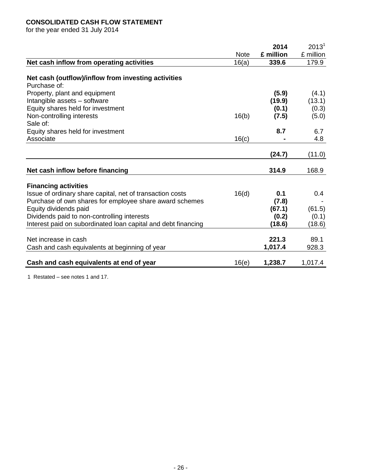## **CONSOLIDATED CASH FLOW STATEMENT**

for the year ended 31 July 2014

|                                                                                                                                       | <b>Note</b> | 2014<br>£ million                 | $2013^1$<br>£ million             |
|---------------------------------------------------------------------------------------------------------------------------------------|-------------|-----------------------------------|-----------------------------------|
| Net cash inflow from operating activities                                                                                             | 16(a)       | 339.6                             | 179.9                             |
| Net cash (outflow)/inflow from investing activities<br>Purchase of:                                                                   |             |                                   |                                   |
| Property, plant and equipment<br>Intangible assets - software<br>Equity shares held for investment<br>Non-controlling interests       | 16(b)       | (5.9)<br>(19.9)<br>(0.1)<br>(7.5) | (4.1)<br>(13.1)<br>(0.3)<br>(5.0) |
| Sale of:<br>Equity shares held for investment<br>Associate                                                                            | 16(c)       | 8.7                               | 6.7<br>4.8                        |
|                                                                                                                                       |             | (24.7)                            | (11.0)                            |
| Net cash inflow before financing                                                                                                      |             | 314.9                             | 168.9                             |
| <b>Financing activities</b>                                                                                                           |             |                                   |                                   |
| Issue of ordinary share capital, net of transaction costs<br>Purchase of own shares for employee share award schemes                  | 16(d)       | 0.1<br>(7.8)                      | 0.4                               |
| Equity dividends paid<br>Dividends paid to non-controlling interests<br>Interest paid on subordinated loan capital and debt financing |             | (67.1)<br>(0.2)<br>(18.6)         | (61.5)<br>(0.1)<br>(18.6)         |
| Net increase in cash<br>Cash and cash equivalents at beginning of year                                                                |             | 221.3<br>1,017.4                  | 89.1<br>928.3                     |
| Cash and cash equivalents at end of year                                                                                              | 16(e)       | 1,238.7                           | 1,017.4                           |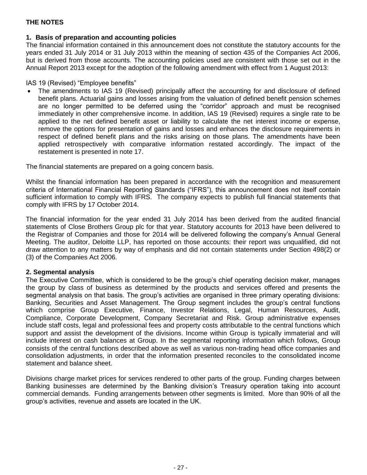## **1. Basis of preparation and accounting policies**

The financial information contained in this announcement does not constitute the statutory accounts for the years ended 31 July 2014 or 31 July 2013 within the meaning of section 435 of the Companies Act 2006, but is derived from those accounts. The accounting policies used are consistent with those set out in the Annual Report 2013 except for the adoption of the following amendment with effect from 1 August 2013:

IAS 19 (Revised) "Employee benefits"

• The amendments to IAS 19 (Revised) principally affect the accounting for and disclosure of defined benefit plans. Actuarial gains and losses arising from the valuation of defined benefit pension schemes are no longer permitted to be deferred using the "corridor" approach and must be recognised immediately in other comprehensive income. In addition, IAS 19 (Revised) requires a single rate to be applied to the net defined benefit asset or liability to calculate the net interest income or expense, remove the options for presentation of gains and losses and enhances the disclosure requirements in respect of defined benefit plans and the risks arising on those plans. The amendments have been applied retrospectively with comparative information restated accordingly. The impact of the restatement is presented in note 17.

The financial statements are prepared on a going concern basis.

Whilst the financial information has been prepared in accordance with the recognition and measurement criteria of International Financial Reporting Standards ("IFRS"), this announcement does not itself contain sufficient information to comply with IFRS. The company expects to publish full financial statements that comply with IFRS by 17 October 2014.

The financial information for the year ended 31 July 2014 has been derived from the audited financial statements of Close Brothers Group plc for that year. Statutory accounts for 2013 have been delivered to the Registrar of Companies and those for 2014 will be delivered following the company's Annual General Meeting. The auditor, Deloitte LLP, has reported on those accounts: their report was unqualified, did not draw attention to any matters by way of emphasis and did not contain statements under Section 498(2) or (3) of the Companies Act 2006.

## **2. Segmental analysis**

The Executive Committee, which is considered to be the group's chief operating decision maker, manages the group by class of business as determined by the products and services offered and presents the segmental analysis on that basis. The group's activities are organised in three primary operating divisions: Banking, Securities and Asset Management. The Group segment includes the group's central functions which comprise Group Executive, Finance, Investor Relations, Legal, Human Resources, Audit, Compliance, Corporate Development, Company Secretariat and Risk. Group administrative expenses include staff costs, legal and professional fees and property costs attributable to the central functions which support and assist the development of the divisions. Income within Group is typically immaterial and will include interest on cash balances at Group. In the segmental reporting information which follows, Group consists of the central functions described above as well as various non-trading head office companies and consolidation adjustments, in order that the information presented reconciles to the consolidated income statement and balance sheet.

Divisions charge market prices for services rendered to other parts of the group. Funding charges between Banking businesses are determined by the Banking division's Treasury operation taking into account commercial demands. Funding arrangements between other segments is limited. More than 90% of all the group's activities, revenue and assets are located in the UK.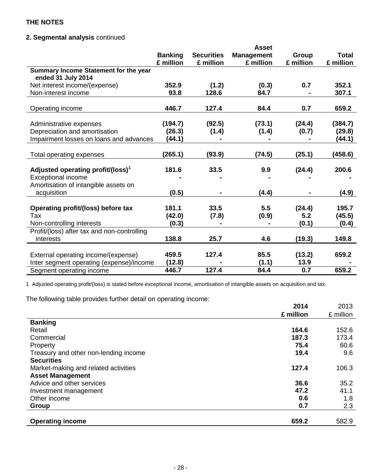## **2. Segmental analysis** continued

|                                                             |                |                   | <b>Asset</b>      |           |              |
|-------------------------------------------------------------|----------------|-------------------|-------------------|-----------|--------------|
|                                                             | <b>Banking</b> | <b>Securities</b> | <b>Management</b> | Group     | <b>Total</b> |
|                                                             | £ million      | £ million         | £ million         | £ million | £ million    |
| Summary Income Statement for the year<br>ended 31 July 2014 |                |                   |                   |           |              |
| Net interest income/(expense)                               | 352.9          | (1.2)             | (0.3)             | 0.7       | 352.1        |
| Non-interest income                                         | 93.8           | 128.6             | 84.7              |           | 307.1        |
|                                                             |                |                   |                   |           |              |
| Operating income                                            | 446.7          | 127.4             | 84.4              | 0.7       | 659.2        |
|                                                             |                |                   |                   |           |              |
| Administrative expenses                                     | (194.7)        | (92.5)            | (73.1)            | (24.4)    | (384.7)      |
| Depreciation and amortisation                               | (26.3)         | (1.4)             | (1.4)             | (0.7)     | (29.8)       |
| Impairment losses on loans and advances                     | (44.1)         |                   |                   |           | (44.1)       |
|                                                             |                |                   |                   |           |              |
| Total operating expenses                                    | (265.1)        | (93.9)            | (74.5)            | (25.1)    | (458.6)      |
|                                                             |                |                   |                   |           |              |
| Adjusted operating profit/(loss) <sup>1</sup>               | 181.6          | 33.5              | 9.9               | (24.4)    | 200.6        |
| <b>Exceptional income</b>                                   |                |                   |                   |           |              |
| Amortisation of intangible assets on                        |                |                   |                   |           |              |
| acquisition                                                 | (0.5)          |                   | (4.4)             |           | (4.9)        |
|                                                             |                |                   |                   |           |              |
| Operating profit/(loss) before tax                          | 181.1          | 33.5              | 5.5               | (24.4)    | 195.7        |
| Tax                                                         | (42.0)         | (7.8)             | (0.9)             | 5.2       | (45.5)       |
| Non-controlling interests                                   | (0.3)          |                   |                   | (0.1)     | (0.4)        |
| Profit/(loss) after tax and non-controlling                 |                |                   |                   |           |              |
| interests                                                   | 138.8          | 25.7              | 4.6               | (19.3)    | 149.8        |
|                                                             |                |                   |                   |           |              |
| External operating income/(expense)                         | 459.5          | 127.4             | 85.5              | (13.2)    | 659.2        |
| Inter segment operating (expense)/income                    | (12.8)         |                   | (1.1)             | 13.9      |              |
| Segment operating income                                    | 446.7          | 127.4             | 84.4              | 0.7       | 659.2        |

1 Adjusted operating profit/(loss) is stated before exceptional income, amortisation of intangible assets on acquisition and tax.

The following table provides further detail on operating income:

|                                       | 2014      | 2013      |
|---------------------------------------|-----------|-----------|
|                                       | £ million | £ million |
| <b>Banking</b>                        |           |           |
| Retail                                | 164.6     | 152.6     |
| Commercial                            | 187.3     | 173.4     |
| Property                              | 75.4      | 60.6      |
| Treasury and other non-lending income | 19.4      | 9.6       |
| <b>Securities</b>                     |           |           |
| Market-making and related activities  | 127.4     | 106.3     |
| <b>Asset Management</b>               |           |           |
| Advice and other services             | 36.6      | 35.2      |
| Investment management                 | 47.2      | 41.1      |
| Other income                          | 0.6       | 1.8       |
| Group                                 | 0.7       | 2.3       |
|                                       |           |           |
| <b>Operating income</b>               | 659.2     | 582.9     |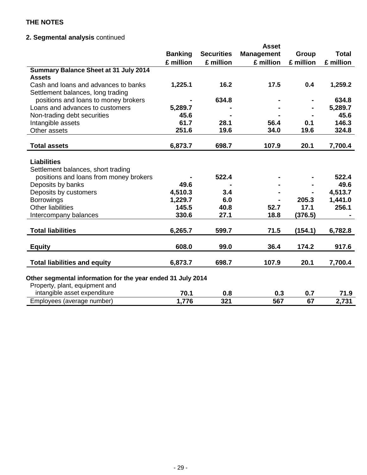## **2. Segmental analysis** continued

|                                                             |                |                   | <b>Asset</b>      |           |              |
|-------------------------------------------------------------|----------------|-------------------|-------------------|-----------|--------------|
|                                                             | <b>Banking</b> | <b>Securities</b> | <b>Management</b> | Group     | <b>Total</b> |
|                                                             | £ million      | £ million         | £ million         | £ million | £ million    |
| <b>Summary Balance Sheet at 31 July 2014</b>                |                |                   |                   |           |              |
| <b>Assets</b>                                               |                |                   |                   |           |              |
| Cash and loans and advances to banks                        | 1,225.1        | 16.2              | 17.5              | 0.4       | 1,259.2      |
| Settlement balances, long trading                           |                |                   |                   |           |              |
| positions and loans to money brokers                        |                | 634.8             |                   |           | 634.8        |
| Loans and advances to customers                             | 5,289.7        |                   |                   |           | 5,289.7      |
| Non-trading debt securities                                 | 45.6           |                   |                   |           | 45.6         |
| Intangible assets                                           | 61.7           | 28.1              | 56.4              | 0.1       | 146.3        |
| Other assets                                                | 251.6          | 19.6              | 34.0              | 19.6      | 324.8        |
|                                                             |                |                   |                   |           |              |
| <b>Total assets</b>                                         | 6,873.7        | 698.7             | 107.9             | 20.1      | 7,700.4      |
| <b>Liabilities</b>                                          |                |                   |                   |           |              |
|                                                             |                |                   |                   |           |              |
| Settlement balances, short trading                          |                | 522.4             |                   |           | 522.4        |
| positions and loans from money brokers                      | 49.6           |                   |                   |           | 49.6         |
| Deposits by banks                                           |                |                   |                   |           |              |
| Deposits by customers                                       | 4,510.3        | 3.4               |                   |           | 4,513.7      |
| <b>Borrowings</b>                                           | 1,229.7        | 6.0               |                   | 205.3     | 1,441.0      |
| <b>Other liabilities</b>                                    | 145.5          | 40.8              | 52.7              | 17.1      | 256.1        |
| Intercompany balances                                       | 330.6          | 27.1              | 18.8              | (376.5)   |              |
| <b>Total liabilities</b>                                    | 6,265.7        | 599.7             | 71.5              | (154.1)   | 6,782.8      |
|                                                             |                |                   |                   |           |              |
| <b>Equity</b>                                               | 608.0          | 99.0              | 36.4              | 174.2     | 917.6        |
|                                                             |                |                   |                   |           |              |
| <b>Total liabilities and equity</b>                         | 6,873.7        | 698.7             | 107.9             | 20.1      | 7,700.4      |
|                                                             |                |                   |                   |           |              |
| Other segmental information for the year ended 31 July 2014 |                |                   |                   |           |              |
| Property, plant, equipment and                              |                |                   |                   |           |              |
| intangible asset expenditure                                | 70.1           | 0.8               | 0.3               | 0.7       | 71.9         |
| Employees (average number)                                  | 1,776          | 321               | 567               | 67        | 2,731        |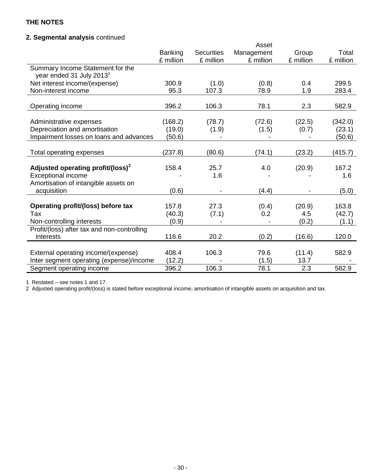## **2. Segmental analysis** continued

|                                                                          |           |                   | Asset      |           |           |
|--------------------------------------------------------------------------|-----------|-------------------|------------|-----------|-----------|
|                                                                          | Banking   | <b>Securities</b> | Management | Group     | Total     |
|                                                                          | £ million | £ million         | £ million  | £ million | £ million |
| Summary Income Statement for the<br>year ended 31 July 2013 <sup>1</sup> |           |                   |            |           |           |
| Net interest income/(expense)                                            | 300.9     | (1.0)             | (0.8)      | 0.4       | 299.5     |
| Non-interest income                                                      | 95.3      | 107.3             | 78.9       | 1.9       | 283.4     |
|                                                                          |           |                   |            |           |           |
| Operating income                                                         | 396.2     | 106.3             | 78.1       | 2.3       | 582.9     |
|                                                                          |           |                   |            |           |           |
| Administrative expenses                                                  | (168.2)   | (78.7)            | (72.6)     | (22.5)    | (342.0)   |
| Depreciation and amortisation                                            | (19.0)    | (1.9)             | (1.5)      | (0.7)     | (23.1)    |
| Impairment losses on loans and advances                                  | (50.6)    |                   |            |           | (50.6)    |
| Total operating expenses                                                 | (237.8)   | (80.6)            | (74.1)     | (23.2)    | (415.7)   |
|                                                                          |           |                   |            |           |           |
| Adjusted operating profit/(loss) <sup>2</sup>                            | 158.4     | 25.7              | 4.0        | (20.9)    | 167.2     |
| <b>Exceptional income</b>                                                |           | 1.6               |            |           | 1.6       |
| Amortisation of intangible assets on                                     |           |                   |            |           |           |
| acquisition                                                              | (0.6)     |                   | (4.4)      |           | (5.0)     |
|                                                                          |           |                   |            |           |           |
| Operating profit/(loss) before tax                                       | 157.8     | 27.3              | (0.4)      | (20.9)    | 163.8     |
| Tax                                                                      | (40.3)    | (7.1)             | 0.2        | 4.5       | (42.7)    |
| Non-controlling interests                                                | (0.9)     |                   |            | (0.2)     | (1.1)     |
| Profit/(loss) after tax and non-controlling                              |           |                   |            |           |           |
| interests                                                                | 116.6     | 20.2              | (0.2)      | (16.6)    | 120.0     |
|                                                                          |           |                   |            |           |           |
| External operating income/(expense)                                      | 408.4     | 106.3             | 79.6       | (11.4)    | 582.9     |
| Inter segment operating (expense)/income                                 | (12.2)    |                   | (1.5)      | 13.7      |           |
| Segment operating income                                                 | 396.2     | 106.3             | 78.1       | 2.3       | 582.9     |

1 Restated – see notes 1 and 17.

2 Adjusted operating profit/(loss) is stated before exceptional income, amortisation of intangible assets on acquisition and tax.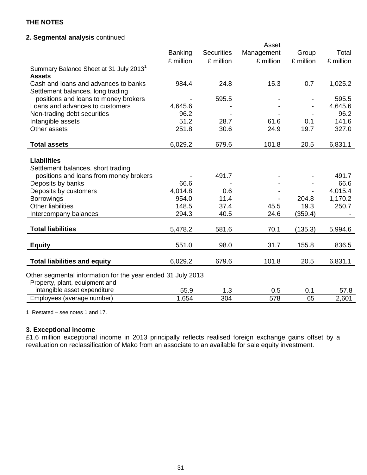## **2. Segmental analysis** continued

|                                                             |                |                   | Asset      |           |           |
|-------------------------------------------------------------|----------------|-------------------|------------|-----------|-----------|
|                                                             | <b>Banking</b> | <b>Securities</b> | Management | Group     | Total     |
|                                                             | £ million      | £ million         | £ million  | £ million | £ million |
| Summary Balance Sheet at 31 July 2013 <sup>1</sup>          |                |                   |            |           |           |
| <b>Assets</b>                                               |                |                   |            |           |           |
| Cash and loans and advances to banks                        | 984.4          | 24.8              | 15.3       | 0.7       | 1,025.2   |
| Settlement balances, long trading                           |                |                   |            |           |           |
| positions and loans to money brokers                        |                | 595.5             |            |           | 595.5     |
| Loans and advances to customers                             | 4,645.6        |                   |            |           | 4,645.6   |
| Non-trading debt securities                                 | 96.2           |                   |            |           | 96.2      |
| Intangible assets                                           | 51.2           | 28.7              | 61.6       | 0.1       | 141.6     |
| Other assets                                                | 251.8          | 30.6              | 24.9       | 19.7      | 327.0     |
|                                                             |                |                   |            |           |           |
| <b>Total assets</b>                                         | 6,029.2        | 679.6             | 101.8      | 20.5      | 6,831.1   |
|                                                             |                |                   |            |           |           |
| <b>Liabilities</b>                                          |                |                   |            |           |           |
| Settlement balances, short trading                          |                |                   |            |           |           |
| positions and loans from money brokers                      |                | 491.7             |            |           | 491.7     |
| Deposits by banks                                           | 66.6           |                   |            |           | 66.6      |
| Deposits by customers                                       | 4,014.8        | 0.6               |            |           | 4,015.4   |
| <b>Borrowings</b>                                           | 954.0          | 11.4              |            | 204.8     | 1,170.2   |
| <b>Other liabilities</b>                                    | 148.5          | 37.4              | 45.5       | 19.3      | 250.7     |
| Intercompany balances                                       | 294.3          | 40.5              | 24.6       | (359.4)   |           |
|                                                             |                |                   |            |           |           |
| <b>Total liabilities</b>                                    | 5,478.2        | 581.6             | 70.1       | (135.3)   | 5,994.6   |
|                                                             |                |                   |            |           |           |
| <b>Equity</b>                                               | 551.0          | 98.0              | 31.7       | 155.8     | 836.5     |
| <b>Total liabilities and equity</b>                         | 6,029.2        | 679.6             | 101.8      | 20.5      | 6,831.1   |
|                                                             |                |                   |            |           |           |
| Other segmental information for the year ended 31 July 2013 |                |                   |            |           |           |
| Property, plant, equipment and                              |                |                   |            |           |           |
| intangible asset expenditure                                | 55.9           | 1.3               | 0.5        | 0.1       | 57.8      |
| Employees (average number)                                  | 1,654          | 304               | 578        | 65        | 2,601     |

1 Restated – see notes 1 and 17.

#### **3. Exceptional income**

£1.6 million exceptional income in 2013 principally reflects realised foreign exchange gains offset by a revaluation on reclassification of Mako from an associate to an available for sale equity investment.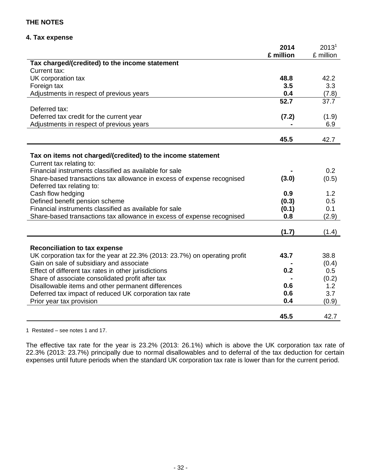### **4. Tax expense**

|                                                                                         | 2014      | 2013 <sup>1</sup> |
|-----------------------------------------------------------------------------------------|-----------|-------------------|
|                                                                                         | £ million | £ million         |
| Tax charged/(credited) to the income statement                                          |           |                   |
| Current tax:                                                                            |           |                   |
| UK corporation tax                                                                      | 48.8      | 42.2              |
| Foreign tax                                                                             | 3.5       | 3.3               |
| Adjustments in respect of previous years                                                | 0.4       | (7.8)             |
|                                                                                         | 52.7      | 37.7              |
| Deferred tax:                                                                           |           |                   |
| Deferred tax credit for the current year                                                | (7.2)     | (1.9)             |
| Adjustments in respect of previous years                                                |           | 6.9               |
|                                                                                         |           |                   |
|                                                                                         | 45.5      | 42.7              |
|                                                                                         |           |                   |
| Tax on items not charged/(credited) to the income statement<br>Current tax relating to: |           |                   |
| Financial instruments classified as available for sale                                  |           | 0.2               |
| Share-based transactions tax allowance in excess of expense recognised                  | (3.0)     | (0.5)             |
| Deferred tax relating to:                                                               |           |                   |
| Cash flow hedging                                                                       | 0.9       | 1.2               |
| Defined benefit pension scheme                                                          | (0.3)     | 0.5               |
| Financial instruments classified as available for sale                                  | (0.1)     | 0.1               |
| Share-based transactions tax allowance in excess of expense recognised                  | 0.8       | (2.9)             |
|                                                                                         |           |                   |
|                                                                                         | (1.7)     | (1.4)             |
|                                                                                         |           |                   |
| <b>Reconciliation to tax expense</b>                                                    |           |                   |
| UK corporation tax for the year at 22.3% (2013: 23.7%) on operating profit              | 43.7      | 38.8              |
| Gain on sale of subsidiary and associate                                                |           | (0.4)             |
| Effect of different tax rates in other jurisdictions                                    | 0.2       | 0.5               |
| Share of associate consolidated profit after tax                                        |           | (0.2)             |
| Disallowable items and other permanent differences                                      | 0.6       | 1.2               |
| Deferred tax impact of reduced UK corporation tax rate                                  | 0.6       | 3.7               |
| Prior year tax provision                                                                | 0.4       | (0.9)             |
|                                                                                         |           |                   |
|                                                                                         | 45.5      | 42.7              |

1 Restated – see notes 1 and 17.

The effective tax rate for the year is 23.2% (2013: 26.1%) which is above the UK corporation tax rate of 22.3% (2013: 23.7%) principally due to normal disallowables and to deferral of the tax deduction for certain expenses until future periods when the standard UK corporation tax rate is lower than for the current period.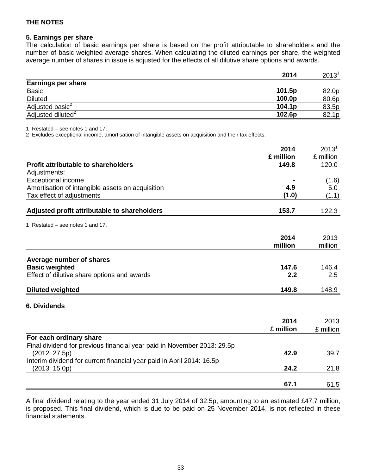#### **5. Earnings per share**

The calculation of basic earnings per share is based on the profit attributable to shareholders and the number of basic weighted average shares. When calculating the diluted earnings per share, the weighted average number of shares in issue is adjusted for the effects of all dilutive share options and awards.

|                               | 2014               | 2013 <sup>1</sup> |
|-------------------------------|--------------------|-------------------|
| <b>Earnings per share</b>     |                    |                   |
| <b>Basic</b>                  | 101.5p             | 82.0p             |
| <b>Diluted</b>                | 100.0p             | 80.6p             |
| Adjusted basic <sup>2</sup>   | 104.1 <sub>p</sub> | 83.5p             |
| Adjusted diluted <sup>2</sup> | 102.6p             | 82.1p             |

1 Restated – see notes 1 and 17.

2 Excludes exceptional income, amortisation of intangible assets on acquisition and their tax effects.

|                                                                         | 2014      | 2013 <sup>1</sup> |
|-------------------------------------------------------------------------|-----------|-------------------|
|                                                                         | £ million | £ million         |
| <b>Profit attributable to shareholders</b>                              | 149.8     | 120.0             |
| Adjustments:                                                            |           |                   |
| <b>Exceptional income</b>                                               |           | (1.6)             |
| Amortisation of intangible assets on acquisition                        | 4.9       | 5.0               |
| Tax effect of adjustments                                               | (1.0)     | (1.1)             |
| Adjusted profit attributable to shareholders                            | 153.7     | 122.3             |
| 1 Restated – see notes 1 and 17.                                        |           |                   |
|                                                                         | 2014      | 2013              |
|                                                                         | million   | million           |
| Average number of shares                                                |           |                   |
| <b>Basic weighted</b>                                                   | 147.6     | 146.4             |
| Effect of dilutive share options and awards                             | 2.2       | 2.5               |
| <b>Diluted weighted</b>                                                 | 149.8     | 148.9             |
| 6. Dividends                                                            |           |                   |
|                                                                         |           |                   |
|                                                                         | 2014      | 2013              |
|                                                                         | £ million | £ million         |
| For each ordinary share                                                 |           |                   |
| Final dividend for previous financial year paid in November 2013: 29.5p |           |                   |
| (2012: 27.5p)                                                           | 42.9      | 39.7              |

A final dividend relating to the year ended 31 July 2014 of 32.5p, amounting to an estimated £47.7 million, is proposed. This final dividend, which is due to be paid on 25 November 2014, is not reflected in these financial statements.

(2013: 15.0p) **24.2** 21.8

**67.1** 61.5

Interim dividend for current financial year paid in April 2014: 16.5p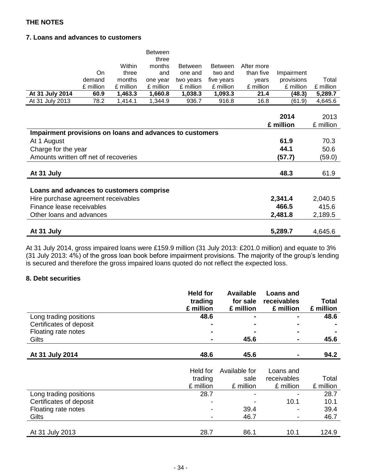## **7. Loans and advances to customers**

|                                                          |           |           | <b>Between</b><br>three |                |                |            |            |           |
|----------------------------------------------------------|-----------|-----------|-------------------------|----------------|----------------|------------|------------|-----------|
|                                                          |           | Within    | months                  | <b>Between</b> | <b>Between</b> | After more |            |           |
|                                                          | On        | three     | and                     | one and        | two and        | than five  | Impairment |           |
|                                                          | demand    | months    | one year                | two years      | five years     | years      | provisions | Total     |
|                                                          | £ million | £ million | £ million               | £ million      | £ million      | £ million  | £ million  | £ million |
| At 31 July 2014                                          | 60.9      | 1,463.3   | 1,660.8                 | 1,038.3        | 1,093.3        | 21.4       | (48.3)     | 5,289.7   |
| At 31 July 2013                                          | 78.2      | 1,414.1   | 1,344.9                 | 936.7          | 916.8          | 16.8       | (61.9)     | 4,645.6   |
|                                                          |           |           |                         |                |                |            |            |           |
|                                                          |           |           |                         |                |                |            | 2014       | 2013      |
|                                                          |           |           |                         |                |                |            | £ million  | £ million |
| Impairment provisions on loans and advances to customers |           |           |                         |                |                |            |            |           |
| At 1 August                                              |           |           |                         |                |                |            | 61.9       | 70.3      |
| Charge for the year                                      |           |           |                         |                |                |            | 44.1       | 50.6      |
| Amounts written off net of recoveries                    |           |           |                         |                |                |            | (57.7)     | (59.0)    |
|                                                          |           |           |                         |                |                |            |            |           |
| At 31 July                                               |           |           |                         |                |                |            | 48.3       | 61.9      |
|                                                          |           |           |                         |                |                |            |            |           |
| Loans and advances to customers comprise                 |           |           |                         |                |                |            |            |           |
| Hire purchase agreement receivables                      |           |           |                         |                |                |            | 2,341.4    | 2,040.5   |
| Finance lease receivables                                |           |           |                         |                |                |            | 466.5      | 415.6     |
| Other loans and advances                                 |           |           |                         |                |                |            | 2,481.8    | 2,189.5   |
|                                                          |           |           |                         |                |                |            |            |           |
| At 31 July                                               |           |           |                         |                |                |            | 5,289.7    | 4,645.6   |

At 31 July 2014, gross impaired loans were £159.9 million (31 July 2013: £201.0 million) and equate to 3% (31 July 2013: 4%) of the gross loan book before impairment provisions. The majority of the group's lending is secured and therefore the gross impaired loans quoted do not reflect the expected loss.

## **8. Debt securities**

|                         | <b>Held for</b> | <b>Available</b> | <b>Loans and</b> |           |
|-------------------------|-----------------|------------------|------------------|-----------|
|                         | trading         | for sale         | receivables      | Total     |
|                         | £ million       | £ million        | £ million        | £ million |
| Long trading positions  | 48.6            |                  |                  | 48.6      |
| Certificates of deposit |                 |                  |                  |           |
| Floating rate notes     |                 |                  |                  |           |
| Gilts                   |                 | 45.6             |                  | 45.6      |
|                         |                 |                  |                  |           |
| At 31 July 2014         | 48.6            | 45.6             |                  | 94.2      |
|                         |                 |                  |                  |           |
|                         | Held for        | Available for    | Loans and        |           |
|                         | trading         | sale             | receivables      | Total     |
|                         | £ million       | £ million        | £ million        | £ million |
| Long trading positions  | 28.7            |                  |                  | 28.7      |
| Certificates of deposit |                 |                  | 10.1             | 10.1      |
| Floating rate notes     |                 | 39.4             |                  | 39.4      |
| Gilts                   |                 | 46.7             |                  | 46.7      |
|                         |                 |                  |                  |           |
| At 31 July 2013         | 28.7            | 86.1             | 10.1             | 124.9     |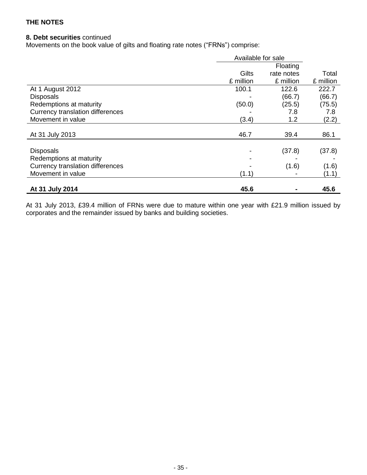## **8. Debt securities** continued

Movements on the book value of gilts and floating rate notes ("FRNs") comprise:

|                                  | Available for sale |            |           |
|----------------------------------|--------------------|------------|-----------|
|                                  |                    | Floating   |           |
|                                  | Gilts              | rate notes | Total     |
|                                  | £ million          | £ million  | £ million |
| At 1 August 2012                 | 100.1              | 122.6      | 222.7     |
| <b>Disposals</b>                 |                    | (66.7)     | (66.7)    |
| Redemptions at maturity          | (50.0)             | (25.5)     | (75.5)    |
| Currency translation differences |                    | 7.8        | 7.8       |
| Movement in value                | (3.4)              | 1.2        | (2.2)     |
|                                  |                    |            |           |
| At 31 July 2013                  | 46.7               | 39.4       | 86.1      |
|                                  |                    |            |           |
| <b>Disposals</b>                 |                    | (37.8)     | (37.8)    |
| Redemptions at maturity          |                    |            |           |
| Currency translation differences |                    | (1.6)      | (1.6)     |
| Movement in value                | (1.1)              |            | (1.1)     |
|                                  |                    |            |           |
| At 31 July 2014                  | 45.6               |            | 45.6      |

At 31 July 2013, £39.4 million of FRNs were due to mature within one year with £21.9 million issued by corporates and the remainder issued by banks and building societies.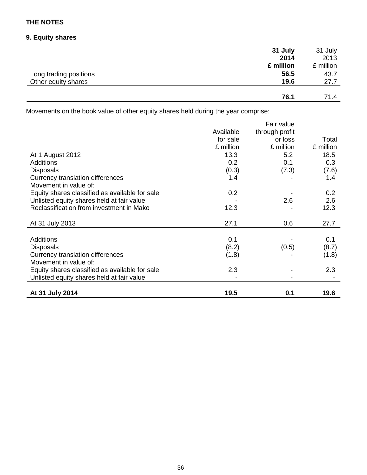## **9. Equity shares**

|                        | 31 July   | 31 July   |
|------------------------|-----------|-----------|
|                        | 2014      | 2013      |
|                        | £ million | £ million |
| Long trading positions | 56.5      | 43.7      |
| Other equity shares    | 19.6      | 27.7      |
|                        |           |           |
|                        | 76.1      | 71.4      |

Movements on the book value of other equity shares held during the year comprise:

|                                                |           | Fair value     |           |
|------------------------------------------------|-----------|----------------|-----------|
|                                                | Available | through profit |           |
|                                                | for sale  | or loss        | Total     |
|                                                | £ million | £ million      | £ million |
| At 1 August 2012                               | 13.3      | 5.2            | 18.5      |
| <b>Additions</b>                               | 0.2       | 0.1            | 0.3       |
| <b>Disposals</b>                               | (0.3)     | (7.3)          | (7.6)     |
| Currency translation differences               | 1.4       |                | 1.4       |
| Movement in value of:                          |           |                |           |
| Equity shares classified as available for sale | 0.2       |                | 0.2       |
| Unlisted equity shares held at fair value      |           | 2.6            | 2.6       |
| Reclassification from investment in Mako       | 12.3      |                | 12.3      |
|                                                |           |                |           |
| At 31 July 2013                                | 27.1      | 0.6            | 27.7      |
|                                                |           |                |           |
| <b>Additions</b>                               | 0.1       |                | 0.1       |
| <b>Disposals</b>                               | (8.2)     | (0.5)          | (8.7)     |
| Currency translation differences               | (1.8)     |                | (1.8)     |
| Movement in value of:                          |           |                |           |
| Equity shares classified as available for sale | 2.3       |                | 2.3       |
| Unlisted equity shares held at fair value      |           |                |           |
|                                                |           |                |           |
| At 31 July 2014                                | 19.5      | 0.1            | 19.6      |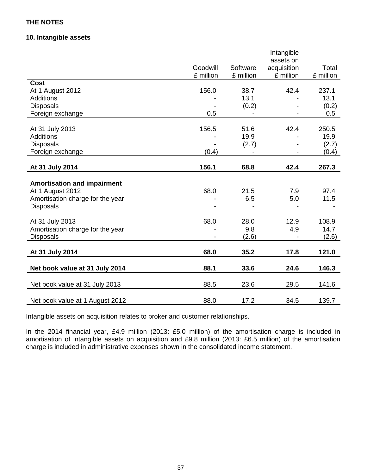## **10. Intangible assets**

|                                    |           |           | Intangible<br>assets on      |           |
|------------------------------------|-----------|-----------|------------------------------|-----------|
|                                    | Goodwill  | Software  | acquisition                  | Total     |
|                                    | £ million | £ million | £ million                    | £ million |
| <b>Cost</b>                        |           |           |                              |           |
| At 1 August 2012                   | 156.0     | 38.7      | 42.4                         | 237.1     |
| Additions                          |           | 13.1      |                              | 13.1      |
| <b>Disposals</b>                   |           | (0.2)     |                              | (0.2)     |
| Foreign exchange                   | 0.5       |           |                              | 0.5       |
| At 31 July 2013                    | 156.5     | 51.6      | 42.4                         | 250.5     |
| <b>Additions</b>                   |           | 19.9      |                              | 19.9      |
| <b>Disposals</b>                   |           | (2.7)     |                              | (2.7)     |
| Foreign exchange                   | (0.4)     |           | $\qquad \qquad \blacksquare$ | (0.4)     |
| At 31 July 2014                    | 156.1     | 68.8      | 42.4                         | 267.3     |
|                                    |           |           |                              |           |
| <b>Amortisation and impairment</b> |           |           |                              |           |
| At 1 August 2012                   | 68.0      | 21.5      | 7.9                          | 97.4      |
| Amortisation charge for the year   |           | 6.5       | 5.0                          | 11.5      |
| <b>Disposals</b>                   |           |           |                              |           |
| At 31 July 2013                    | 68.0      | 28.0      | 12.9                         | 108.9     |
| Amortisation charge for the year   |           | 9.8       | 4.9                          | 14.7      |
| <b>Disposals</b>                   |           | (2.6)     |                              | (2.6)     |
| At 31 July 2014                    | 68.0      | 35.2      | 17.8                         | 121.0     |
| Net book value at 31 July 2014     | 88.1      | 33.6      | 24.6                         | 146.3     |
|                                    |           |           |                              |           |
| Net book value at 31 July 2013     | 88.5      | 23.6      | 29.5                         | 141.6     |
| Net book value at 1 August 2012    | 88.0      | 17.2      | 34.5                         | 139.7     |

Intangible assets on acquisition relates to broker and customer relationships.

In the 2014 financial year, £4.9 million (2013: £5.0 million) of the amortisation charge is included in amortisation of intangible assets on acquisition and £9.8 million (2013: £6.5 million) of the amortisation charge is included in administrative expenses shown in the consolidated income statement.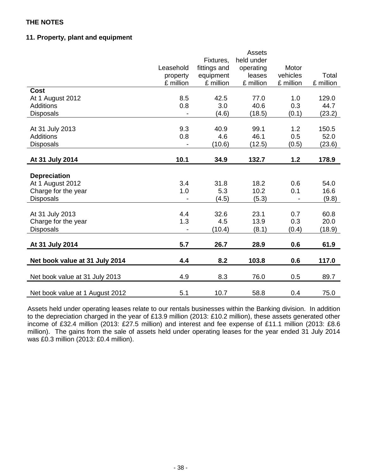## **11. Property, plant and equipment**

|                                 |           |              | <b>Assets</b> |           |           |
|---------------------------------|-----------|--------------|---------------|-----------|-----------|
|                                 |           | Fixtures,    | held under    |           |           |
|                                 | Leasehold | fittings and | operating     | Motor     |           |
|                                 | property  | equipment    | leases        | vehicles  | Total     |
|                                 | £ million | £ million    | £ million     | £ million | £ million |
| <b>Cost</b>                     |           |              |               |           |           |
| At 1 August 2012                | 8.5       | 42.5         | 77.0          | 1.0       | 129.0     |
| <b>Additions</b>                | 0.8       | 3.0          | 40.6          | 0.3       | 44.7      |
| <b>Disposals</b>                |           | (4.6)        | (18.5)        | (0.1)     | (23.2)    |
|                                 |           |              |               |           |           |
| At 31 July 2013                 | 9.3       | 40.9         | 99.1          | 1.2       | 150.5     |
| <b>Additions</b>                | 0.8       | 4.6          | 46.1          | 0.5       | 52.0      |
| <b>Disposals</b>                |           | (10.6)       | (12.5)        | (0.5)     | (23.6)    |
| At 31 July 2014                 | 10.1      | 34.9         | 132.7         | 1.2       | 178.9     |
|                                 |           |              |               |           |           |
| <b>Depreciation</b>             |           |              |               |           |           |
| At 1 August 2012                | 3.4       | 31.8         | 18.2          | 0.6       | 54.0      |
| Charge for the year             | 1.0       | 5.3          | 10.2          | 0.1       | 16.6      |
| <b>Disposals</b>                |           | (4.5)        | (5.3)         |           | (9.8)     |
|                                 |           |              |               |           |           |
| At 31 July 2013                 | 4.4       | 32.6         | 23.1          | 0.7       | 60.8      |
| Charge for the year             | 1.3       | 4.5          | 13.9          | 0.3       | 20.0      |
| <b>Disposals</b>                |           | (10.4)       | (8.1)         | (0.4)     | (18.9)    |
|                                 |           |              |               |           |           |
| At 31 July 2014                 | 5.7       | 26.7         | 28.9          | 0.6       | 61.9      |
| Net book value at 31 July 2014  | 4.4       | 8.2          | 103.8         | 0.6       | 117.0     |
| Net book value at 31 July 2013  | 4.9       | 8.3          | 76.0          | 0.5       | 89.7      |
| Net book value at 1 August 2012 | 5.1       | 10.7         | 58.8          | 0.4       | 75.0      |

Assets held under operating leases relate to our rentals businesses within the Banking division. In addition to the depreciation charged in the year of £13.9 million (2013: £10.2 million), these assets generated other income of £32.4 million (2013: £27.5 million) and interest and fee expense of £11.1 million (2013: £8.6 million). The gains from the sale of assets held under operating leases for the year ended 31 July 2014 was £0.3 million (2013: £0.4 million).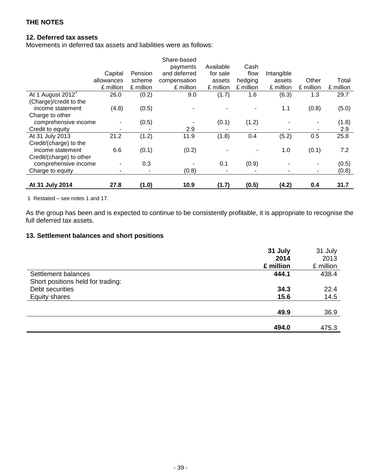## **12. Deferred tax assets**

Movements in deferred tax assets and liabilities were as follows:

|                              |            |           | Share-based  |           |           |            |           |           |
|------------------------------|------------|-----------|--------------|-----------|-----------|------------|-----------|-----------|
|                              |            |           | payments     | Available | Cash      |            |           |           |
|                              | Capital    | Pension   | and deferred | for sale  | flow      | Intangible |           |           |
|                              | allowances | scheme    | compensation | assets    | hedging   | assets     | Other     | Total     |
|                              | £ million  | £ million | £ million    | £ million | £ million | £ million  | £ million | £ million |
| At 1 August $2012^{\degree}$ | 26.0       | (0.2)     | 9.0          | (1.7)     | 1.6       | (6.3)      | 1.3       | 29.7      |
| (Charge)/credit to the       |            |           |              |           |           |            |           |           |
| income statement             | (4.8)      | (0.5)     |              |           |           | 1.1        | (0.8)     | (5.0)     |
| Charge to other              |            |           |              |           |           |            |           |           |
| comprehensive income         |            | (0.5)     |              | (0.1)     | (1.2)     |            |           | (1.8)     |
| Credit to equity             |            |           | 2.9          |           |           |            | ۰         | 2.9       |
| At 31 July 2013              | 21.2       | (1.2)     | 11.9         | (1.8)     | 0.4       | (5.2)      | 0.5       | 25.8      |
| Credit/(charge) to the       |            |           |              |           |           |            |           |           |
| income statement             | 6.6        | (0.1)     | (0.2)        |           |           | 1.0        | (0.1)     | 7.2       |
| Credit/(charge) to other     |            |           |              |           |           |            |           |           |
| comprehensive income         |            | 0.3       |              | 0.1       | (0.9)     |            |           | (0.5)     |
| Charge to equity             |            |           | (0.8)        |           |           |            |           | (0.8)     |
| At 31 July 2014              | 27.8       | (1.0)     | 10.9         | (1.7)     | (0.5)     | (4.2)      | 0.4       | 31.7      |

1 Restated – see notes 1 and 17.

As the group has been and is expected to continue to be consistently profitable, it is appropriate to recognise the full deferred tax assets.

## **13. Settlement balances and short positions**

|                                   | 31 July   | 31 July   |
|-----------------------------------|-----------|-----------|
|                                   | 2014      | 2013      |
|                                   | £ million | £ million |
| Settlement balances               | 444.1     | 438.4     |
| Short positions held for trading: |           |           |
| Debt securities                   | 34.3      | 22.4      |
| <b>Equity shares</b>              | 15.6      | 14.5      |
|                                   |           |           |
|                                   | 49.9      | 36.9      |
|                                   |           |           |
|                                   | 494.0     | 475.3     |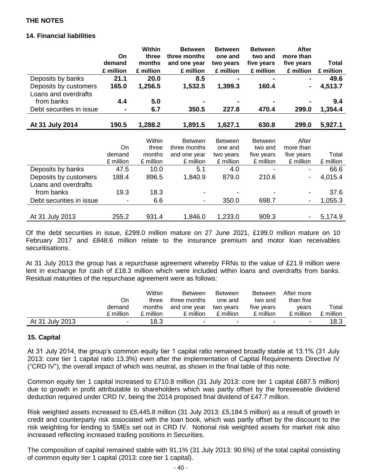## **14. Financial liabilities**

|                          |           | Within    | <b>Between</b> | <b>Between</b> | <b>Between</b> | <b>After</b>             |           |
|--------------------------|-----------|-----------|----------------|----------------|----------------|--------------------------|-----------|
|                          | On        | three     | three months   | one and        | two and        | more than                |           |
|                          | demand    | months    | and one year   | two years      | five years     | five years               | Total     |
|                          | £ million | £ million | £ million      | £ million      | £ million      | £ million                | £ million |
| Deposits by banks        | 21.1      | 20.0      | 8.5            |                |                | $\blacksquare$           | 49.6      |
| Deposits by customers    | 165.0     | 1,256.5   | 1,532.5        | 1,399.3        | 160.4          | $\blacksquare$           | 4,513.7   |
| Loans and overdrafts     |           |           |                |                |                |                          |           |
| from banks               | 4.4       | 5.0       |                |                |                |                          | 9.4       |
| Debt securities in issue |           | 6.7       | 350.5          | 227.8          | 470.4          | 299.0                    | 1,354.4   |
|                          |           |           |                |                |                |                          |           |
| At 31 July 2014          | 190.5     | 1,288.2   | 1,891.5        | 1,627.1        | 630.8          | 299.0                    | 5,927.1   |
|                          |           |           |                |                |                |                          |           |
|                          |           | Within    | <b>Between</b> | <b>Between</b> | <b>Between</b> | After                    |           |
|                          | On        | three     | three months   | one and        | two and        | more than                |           |
|                          | demand    | months    | and one year   | two years      | five years     | five years               | Total     |
|                          | £ million | £ million | £ million      | £ million      | £ million      | £ million                | £ million |
| Deposits by banks        | 47.5      | 10.0      | 5.1            | 4.0            |                |                          | 66.6      |
| Deposits by customers    | 188.4     | 896.5     | 1,840.9        | 879.0          | 210.6          | $\overline{\phantom{0}}$ | 4,015.4   |
| Loans and overdrafts     |           |           |                |                |                |                          |           |
| from banks               | 19.3      | 18.3      |                |                |                |                          | 37.6      |
| Debt securities in issue |           | 6.6       | $\blacksquare$ | 350.0          | 698.7          | $\blacksquare$           | 1,055.3   |
|                          |           |           |                |                |                |                          |           |
| At 31 July 2013          | 255.2     | 931.4     | 1,846.0        | 1,233.0        | 909.3          |                          | 5,174.9   |

Of the debt securities in issue, £299.0 million mature on 27 June 2021, £199.0 million mature on 10 February 2017 and £848.6 million relate to the insurance premium and motor loan receivables securitisations.

At 31 July 2013 the group has a repurchase agreement whereby FRNs to the value of £21.9 million were lent in exchange for cash of £18.3 million which were included within loans and overdrafts from banks. Residual maturities of the repurchase agreement were as follows:

|                 |                          | Within    | <b>Between</b> | <b>Between</b> | <b>Between</b>           | After more               |           |
|-----------------|--------------------------|-----------|----------------|----------------|--------------------------|--------------------------|-----------|
|                 | On                       | three     | three months   | one and        | two and                  | than five                |           |
|                 | demand                   | months    | and one year   | two vears      | five vears               | vears                    | Total     |
|                 | £ million                | £ million | £ million      | £ million      | £ million                | £ million                | £ million |
| At 31 July 2013 | $\overline{\phantom{a}}$ | 18.3      | -              | ۰              | $\overline{\phantom{0}}$ | $\overline{\phantom{0}}$ | 18.3      |

## **15. Capital**

At 31 July 2014, the group's common equity tier 1 capital ratio remained broadly stable at 13.1% (31 July 2013: core tier 1 capital ratio 13.3%) even after the implementation of Capital Requirements Directive IV ("CRD IV"), the overall impact of which was neutral, as shown in the final table of this note.

Common equity tier 1 capital increased to £710.8 million (31 July 2013: core tier 1 capital £687.5 million) due to growth in profit attributable to shareholders which was partly offset by the foreseeable dividend deduction required under CRD IV, being the 2014 proposed final dividend of £47.7 million.

Risk weighted assets increased to £5,445.8 million (31 July 2013: £5,184.5 million) as a result of growth in credit and counterparty risk associated with the loan book, which was partly offset by the discount to the risk weighting for lending to SMEs set out in CRD IV. Notional risk weighted assets for market risk also increased reflecting increased trading positions in Securities.

The composition of capital remained stable with 91.1% (31 July 2013: 90.6%) of the total capital consisting of common equity tier 1 capital (2013: core tier 1 capital).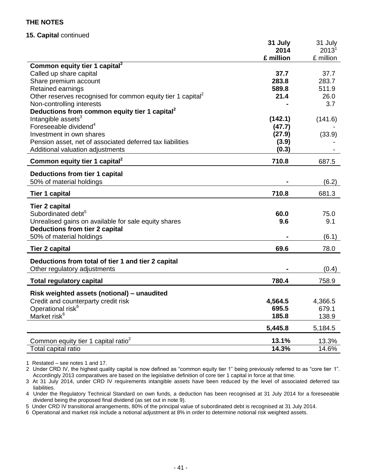## **15. Capital** continued

|                                                                         | 31 July   | 31 July   |
|-------------------------------------------------------------------------|-----------|-----------|
|                                                                         | 2014      | $2013^1$  |
|                                                                         | £ million | £ million |
| Common equity tier 1 capital <sup>2</sup>                               |           |           |
| Called up share capital                                                 | 37.7      | 37.7      |
| Share premium account                                                   | 283.8     | 283.7     |
| <b>Retained earnings</b>                                                | 589.8     | 511.9     |
| Other reserves recognised for common equity tier 1 capital <sup>2</sup> | 21.4      | 26.0      |
| Non-controlling interests                                               |           | 3.7       |
| Deductions from common equity tier 1 capital <sup>2</sup>               |           |           |
| Intangible assets <sup>3</sup>                                          | (142.1)   | (141.6)   |
| Foreseeable dividend <sup>4</sup>                                       | (47.7)    |           |
| Investment in own shares                                                | (27.9)    | (33.9)    |
| Pension asset, net of associated deferred tax liabilities               | (3.9)     |           |
| Additional valuation adjustments                                        | (0.3)     |           |
| Common equity tier 1 capital <sup>2</sup>                               | 710.8     | 687.5     |
|                                                                         |           |           |
| <b>Deductions from tier 1 capital</b>                                   |           |           |
| 50% of material holdings                                                |           | (6.2)     |
| <b>Tier 1 capital</b>                                                   | 710.8     | 681.3     |
| <b>Tier 2 capital</b>                                                   |           |           |
| Subordinated debt <sup>5</sup>                                          | 60.0      | 75.0      |
| Unrealised gains on available for sale equity shares                    | 9.6       | 9.1       |
| <b>Deductions from tier 2 capital</b>                                   |           |           |
| 50% of material holdings                                                |           | (6.1)     |
|                                                                         |           |           |
| <b>Tier 2 capital</b>                                                   | 69.6      | 78.0      |
| Deductions from total of tier 1 and tier 2 capital                      |           |           |
| Other regulatory adjustments                                            |           | (0.4)     |
| <b>Total regulatory capital</b>                                         | 780.4     | 758.9     |
|                                                                         |           |           |
| Risk weighted assets (notional) - unaudited                             |           |           |
| Credit and counterparty credit risk                                     | 4,564.5   | 4,366.5   |
| Operational risk <sup>6</sup>                                           | 695.5     | 679.1     |
| Market risk <sup>6</sup>                                                | 185.8     | 138.9     |
|                                                                         | 5,445.8   | 5,184.5   |
| Common equity tier 1 capital ratio <sup>2</sup>                         | 13.1%     | 13.3%     |
| Total capital ratio                                                     | 14.3%     | 14.6%     |

1 Restated – see notes 1 and 17.

2 Under CRD IV, the highest quality capital is now defined as "common equity tier 1" being previously referred to as "core tier 1". Accordingly 2013 comparatives are based on the legislative definition of core tier 1 capital in force at that time.

3 At 31 July 2014, under CRD IV requirements intangible assets have been reduced by the level of associated deferred tax liabilities.

4 Under the Regulatory Technical Standard on own funds, a deduction has been recognised at 31 July 2014 for a foreseeable dividend being the proposed final dividend (as set out in note 9).

5 Under CRD IV transitional arrangements, 80% of the principal value of subordinated debt is recognised at 31 July 2014.

6 Operational and market risk include a notional adjustment at 8% in order to determine notional risk weighted assets.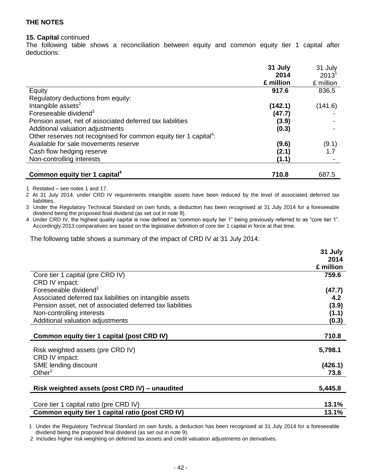#### **15. Capital** continued

The following table shows a reconciliation between equity and common equity tier 1 capital after deductions:

|                                                                               | 31 July   | 31 July           |
|-------------------------------------------------------------------------------|-----------|-------------------|
|                                                                               | 2014      | 2013 <sup>1</sup> |
|                                                                               | £ million | £ million         |
| Equity                                                                        | 917.6     | 836.5             |
| Regulatory deductions from equity:                                            |           |                   |
| Intangible assets <sup>2</sup>                                                | (142.1)   | (141.6)           |
| Foreseeable dividend <sup>3</sup>                                             | (47.7)    |                   |
| Pension asset, net of associated deferred tax liabilities                     | (3.9)     |                   |
| Additional valuation adjustments                                              | (0.3)     |                   |
| Other reserves not recognised for common equity tier 1 capital <sup>4</sup> : |           |                   |
| Available for sale movements reserve                                          | (9.6)     | (9.1)             |
| Cash flow hedging reserve                                                     | (2.1)     | 1.7               |
| Non-controlling interests                                                     | (1.1)     |                   |
|                                                                               |           |                   |
| Common equity tier 1 capital <sup>4</sup>                                     | 710.8     | 687.5             |

1 Restated – see notes 1 and 17.

2 At 31 July 2014, under CRD IV requirements intangible assets have been reduced by the level of associated deferred tax liabilities.

3 Under the Regulatory Technical Standard on own funds, a deduction has been recognised at 31 July 2014 for a foreseeable dividend being the proposed final dividend (as set out in note 9).

4 Under CRD IV, the highest quality capital is now defined as "common equity tier 1" being previously referred to as "core tier 1". Accordingly 2013 comparatives are based on the legislative definition of core tier 1 capital in force at that time.

The following table shows a summary of the impact of CRD IV at 31 July 2014:

|                                                           | 31 July   |
|-----------------------------------------------------------|-----------|
|                                                           | 2014      |
|                                                           | £ million |
| Core tier 1 capital (pre CRD IV)                          | 759.6     |
| CRD IV impact:                                            |           |
| Foreseeable dividend <sup>1</sup>                         | (47.7)    |
| Associated deferred tax liabilities on intangible assets  | 4.2       |
| Pension asset, net of associated deferred tax liabilities | (3.9)     |
| Non-controlling interests                                 | (1.1)     |
| Additional valuation adjustments                          | (0.3)     |
|                                                           |           |
| Common equity tier 1 capital (post CRD IV)                | 710.8     |
|                                                           |           |
| Risk weighted assets (pre CRD IV)                         | 5,798.1   |
| CRD IV impact:                                            |           |
| SME lending discount<br>Other $2$                         | (426.1)   |
|                                                           | 73.8      |
| Risk weighted assets (post CRD IV) – unaudited            | 5,445.8   |
|                                                           |           |
| Core tier 1 capital ratio (pre CRD IV)                    | 13.1%     |
| Common equity tier 1 capital ratio (post CRD IV)          | 13.1%     |

 1 Under the Regulatory Technical Standard on own funds, a deduction has been recognised at 31 July 2014 for a foreseeable dividend being the proposed final dividend (as set out in note 9).

2 Includes higher risk weighting on deferred tax assets and credit valuation adjustments on derivatives.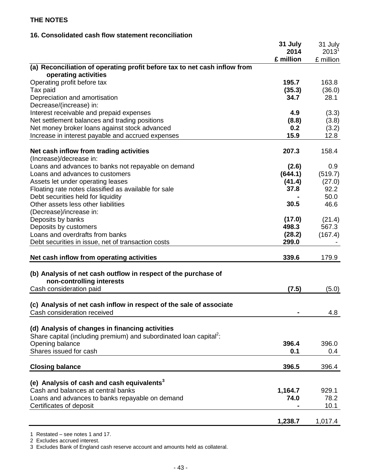## **16. Consolidated cash flow statement reconciliation**

|                                                                                                   | 31 July<br>2014 | 31 July<br>$2013^1$ |
|---------------------------------------------------------------------------------------------------|-----------------|---------------------|
|                                                                                                   | £ million       | £ million           |
| (a) Reconciliation of operating profit before tax to net cash inflow from<br>operating activities |                 |                     |
| Operating profit before tax                                                                       | 195.7           | 163.8               |
| Tax paid                                                                                          | (35.3)          | (36.0)              |
| Depreciation and amortisation                                                                     | 34.7            | 28.1                |
| Decrease/(increase) in:                                                                           |                 |                     |
| Interest receivable and prepaid expenses                                                          | 4.9             | (3.3)               |
| Net settlement balances and trading positions                                                     | (8.8)           | (3.8)               |
| Net money broker loans against stock advanced                                                     | 0.2             | (3.2)               |
| Increase in interest payable and accrued expenses                                                 | 15.9            | 12.8                |
| Net cash inflow from trading activities                                                           | 207.3           | 158.4               |
| (Increase)/decrease in:                                                                           |                 |                     |
| Loans and advances to banks not repayable on demand                                               | (2.6)           | 0.9                 |
| Loans and advances to customers                                                                   | (644.1)         | (519.7)             |
| Assets let under operating leases                                                                 | (41.4)          | (27.0)              |
| Floating rate notes classified as available for sale                                              | 37.8            | 92.2                |
| Debt securities held for liquidity                                                                |                 | 50.0                |
| Other assets less other liabilities                                                               | 30.5            | 46.6                |
| (Decrease)/increase in:                                                                           |                 |                     |
| Deposits by banks                                                                                 | (17.0)          | (21.4)              |
| Deposits by customers                                                                             | 498.3           | 567.3               |
| Loans and overdrafts from banks                                                                   | (28.2)          | (167.4)             |
| Debt securities in issue, net of transaction costs                                                | 299.0           |                     |
| Net cash inflow from operating activities                                                         | 339.6           | 179.9               |
| (b) Analysis of net cash outflow in respect of the purchase of                                    |                 |                     |
| non-controlling interests                                                                         |                 |                     |
| Cash consideration paid                                                                           | (7.5)           | (5.0)               |
|                                                                                                   |                 |                     |
| (c) Analysis of net cash inflow in respect of the sale of associate                               |                 |                     |
| Cash consideration received                                                                       |                 | 4.8                 |
|                                                                                                   |                 |                     |
| (d) Analysis of changes in financing activities                                                   |                 |                     |
| Share capital (including premium) and subordinated loan capital <sup>2</sup> :                    |                 |                     |
| Opening balance                                                                                   | 396.4           | 396.0               |
| Shares issued for cash                                                                            | 0.1             | 0.4                 |
| <b>Closing balance</b>                                                                            | 396.5           | 396.4               |
|                                                                                                   |                 |                     |
| (e) Analysis of cash and cash equivalents <sup>3</sup><br>Cash and balances at central banks      | 1,164.7         | 929.1               |
|                                                                                                   | 74.0            | 78.2                |
| Loans and advances to banks repayable on demand<br>Certificates of deposit                        |                 | 10.1                |
|                                                                                                   |                 |                     |
|                                                                                                   | 1,238.7         | 1,017.4             |

1 Restated – see notes 1 and 17.

2 Excludes accrued interest.

3 Excludes Bank of England cash reserve account and amounts held as collateral.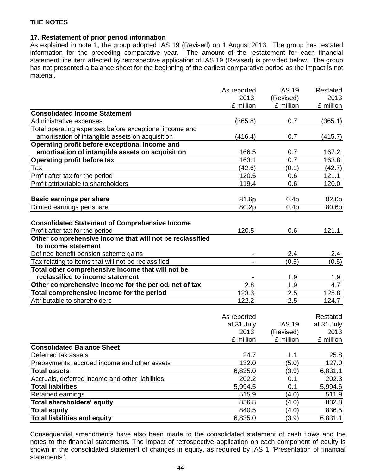## **17. Restatement of prior period information**

As explained in note 1, the group adopted IAS 19 (Revised) on 1 August 2013. The group has restated information for the preceding comparative year. The amount of the restatement for each financial statement line item affected by retrospective application of IAS 19 (Revised) is provided below. The group has not presented a balance sheet for the beginning of the earliest comparative period as the impact is not material.

|                                                                                          | As reported | <b>IAS 19</b> | Restated   |
|------------------------------------------------------------------------------------------|-------------|---------------|------------|
|                                                                                          | 2013        | (Revised)     | 2013       |
|                                                                                          | £ million   | £ million     | £ million  |
| <b>Consolidated Income Statement</b>                                                     |             |               |            |
| Administrative expenses                                                                  | (365.8)     | 0.7           | (365.1)    |
| Total operating expenses before exceptional income and                                   |             |               |            |
| amortisation of intangible assets on acquisition                                         | (416.4)     | 0.7           | (415.7)    |
| Operating profit before exceptional income and                                           |             |               |            |
| amortisation of intangible assets on acquisition                                         | 166.5       | 0.7           | 167.2      |
| <b>Operating profit before tax</b>                                                       | 163.1       | 0.7           | 163.8      |
| Tax                                                                                      | (42.6)      | (0.1)         | (42.7)     |
| Profit after tax for the period                                                          | 120.5       | 0.6           | 121.1      |
| Profit attributable to shareholders                                                      | 119.4       | 0.6           | 120.0      |
|                                                                                          |             |               |            |
| <b>Basic earnings per share</b>                                                          | 81.6p       | 0.4p          | 82.0p      |
| Diluted earnings per share                                                               | 80.2p       | 0.4p          | 80.6p      |
|                                                                                          |             |               |            |
| <b>Consolidated Statement of Comprehensive Income</b><br>Profit after tax for the period | 120.5       | 0.6           | 121.1      |
| Other comprehensive income that will not be reclassified                                 |             |               |            |
| to income statement                                                                      |             |               |            |
| Defined benefit pension scheme gains                                                     |             | 2.4           | 2.4        |
| Tax relating to items that will not be reclassified                                      |             | (0.5)         | (0.5)      |
| Total other comprehensive income that will not be                                        |             |               |            |
| reclassified to income statement                                                         |             | 1.9           | 1.9        |
| Other comprehensive income for the period, net of tax                                    | 2.8         | 1.9           | 4.7        |
| Total comprehensive income for the period                                                | 123.3       | 2.5           | 125.8      |
| Attributable to shareholders                                                             | 122.2       | 2.5           | 124.7      |
|                                                                                          |             |               |            |
|                                                                                          | As reported |               | Restated   |
|                                                                                          | at 31 July  | <b>IAS 19</b> | at 31 July |
|                                                                                          | 2013        | (Revised)     | 2013       |
|                                                                                          | £ million   | £ million     | £ million  |
| <b>Consolidated Balance Sheet</b>                                                        |             |               |            |
| Deferred tax assets                                                                      | 24.7        | 1.1           | 25.8       |
| Prepayments, accrued income and other assets                                             | 132.0       | (5.0)         | 127.0      |
| <b>Total assets</b>                                                                      | 6,835.0     | (3.9)         | 6,831.1    |
| Accruals, deferred income and other liabilities                                          | 202.2       | 0.1           | 202.3      |
| <b>Total liabilities</b>                                                                 | 5,994.5     | 0.1           | 5,994.6    |
| Retained earnings                                                                        | 515.9       | (4.0)         | 511.9      |
| <b>Total shareholders' equity</b>                                                        | 836.8       | (4.0)         | 832.8      |
| <b>Total equity</b>                                                                      | 840.5       | (4.0)         | 836.5      |
| <b>Total liabilities and equity</b>                                                      | 6,835.0     | (3.9)         | 6,831.1    |

Consequential amendments have also been made to the consolidated statement of cash flows and the notes to the financial statements. The impact of retrospective application on each component of equity is shown in the consolidated statement of changes in equity, as required by IAS 1 "Presentation of financial statements".